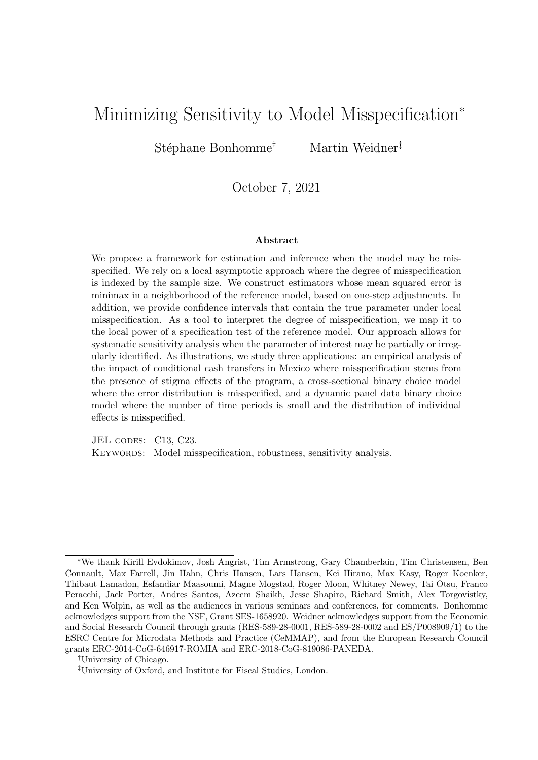## Minimizing Sensitivity to Model Misspecification<sup>∗</sup>

Stéphane Bonhomme<sup>†</sup> Martin Weidner<sup>‡</sup>

### October 7, 2021

#### Abstract

We propose a framework for estimation and inference when the model may be misspecified. We rely on a local asymptotic approach where the degree of misspecification is indexed by the sample size. We construct estimators whose mean squared error is minimax in a neighborhood of the reference model, based on one-step adjustments. In addition, we provide confidence intervals that contain the true parameter under local misspecification. As a tool to interpret the degree of misspecification, we map it to the local power of a specification test of the reference model. Our approach allows for systematic sensitivity analysis when the parameter of interest may be partially or irregularly identified. As illustrations, we study three applications: an empirical analysis of the impact of conditional cash transfers in Mexico where misspecification stems from the presence of stigma effects of the program, a cross-sectional binary choice model where the error distribution is misspecified, and a dynamic panel data binary choice model where the number of time periods is small and the distribution of individual effects is misspecified.

JEL CODES: C13, C23. KEYWORDS: Model misspecification, robustness, sensitivity analysis.

<sup>∗</sup>We thank Kirill Evdokimov, Josh Angrist, Tim Armstrong, Gary Chamberlain, Tim Christensen, Ben Connault, Max Farrell, Jin Hahn, Chris Hansen, Lars Hansen, Kei Hirano, Max Kasy, Roger Koenker, Thibaut Lamadon, Esfandiar Maasoumi, Magne Mogstad, Roger Moon, Whitney Newey, Tai Otsu, Franco Peracchi, Jack Porter, Andres Santos, Azeem Shaikh, Jesse Shapiro, Richard Smith, Alex Torgovistky, and Ken Wolpin, as well as the audiences in various seminars and conferences, for comments. Bonhomme acknowledges support from the NSF, Grant SES-1658920. Weidner acknowledges support from the Economic and Social Research Council through grants (RES-589-28-0001, RES-589-28-0002 and ES/P008909/1) to the ESRC Centre for Microdata Methods and Practice (CeMMAP), and from the European Research Council grants ERC-2014-CoG-646917-ROMIA and ERC-2018-CoG-819086-PANEDA.

<sup>†</sup>University of Chicago.

<sup>‡</sup>University of Oxford, and Institute for Fiscal Studies, London.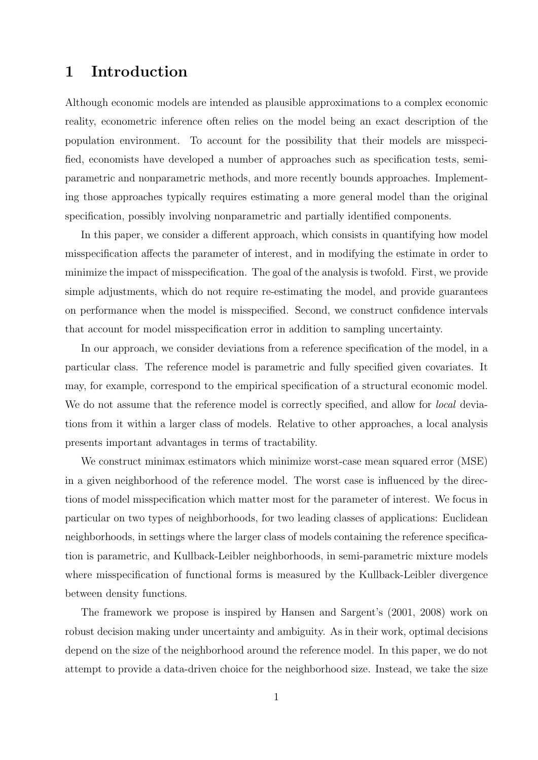## 1 Introduction

Although economic models are intended as plausible approximations to a complex economic reality, econometric inference often relies on the model being an exact description of the population environment. To account for the possibility that their models are misspecified, economists have developed a number of approaches such as specification tests, semiparametric and nonparametric methods, and more recently bounds approaches. Implementing those approaches typically requires estimating a more general model than the original specification, possibly involving nonparametric and partially identified components.

In this paper, we consider a different approach, which consists in quantifying how model misspecification affects the parameter of interest, and in modifying the estimate in order to minimize the impact of misspecification. The goal of the analysis is twofold. First, we provide simple adjustments, which do not require re-estimating the model, and provide guarantees on performance when the model is misspecified. Second, we construct confidence intervals that account for model misspecification error in addition to sampling uncertainty.

In our approach, we consider deviations from a reference specification of the model, in a particular class. The reference model is parametric and fully specified given covariates. It may, for example, correspond to the empirical specification of a structural economic model. We do not assume that the reference model is correctly specified, and allow for *local* deviations from it within a larger class of models. Relative to other approaches, a local analysis presents important advantages in terms of tractability.

We construct minimax estimators which minimize worst-case mean squared error (MSE) in a given neighborhood of the reference model. The worst case is influenced by the directions of model misspecification which matter most for the parameter of interest. We focus in particular on two types of neighborhoods, for two leading classes of applications: Euclidean neighborhoods, in settings where the larger class of models containing the reference specification is parametric, and Kullback-Leibler neighborhoods, in semi-parametric mixture models where misspecification of functional forms is measured by the Kullback-Leibler divergence between density functions.

The framework we propose is inspired by Hansen and Sargent's (2001, 2008) work on robust decision making under uncertainty and ambiguity. As in their work, optimal decisions depend on the size of the neighborhood around the reference model. In this paper, we do not attempt to provide a data-driven choice for the neighborhood size. Instead, we take the size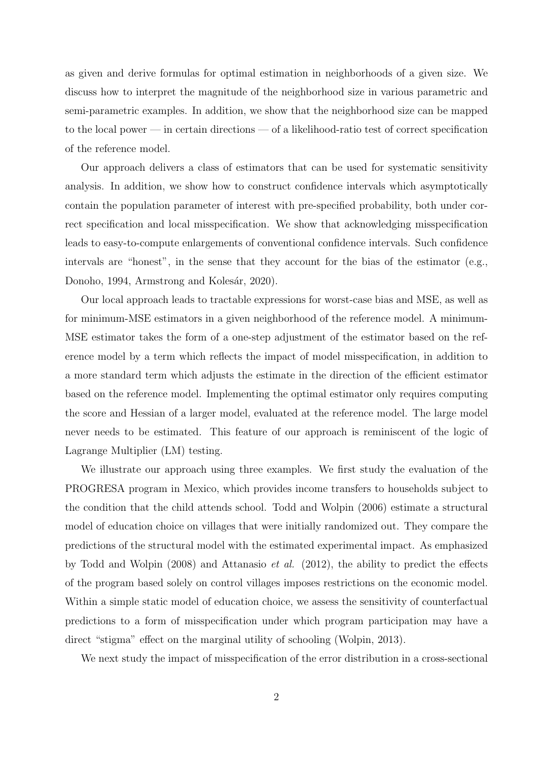as given and derive formulas for optimal estimation in neighborhoods of a given size. We discuss how to interpret the magnitude of the neighborhood size in various parametric and semi-parametric examples. In addition, we show that the neighborhood size can be mapped to the local power — in certain directions — of a likelihood-ratio test of correct specification of the reference model.

Our approach delivers a class of estimators that can be used for systematic sensitivity analysis. In addition, we show how to construct confidence intervals which asymptotically contain the population parameter of interest with pre-specified probability, both under correct specification and local misspecification. We show that acknowledging misspecification leads to easy-to-compute enlargements of conventional confidence intervals. Such confidence intervals are "honest", in the sense that they account for the bias of the estimator (e.g., Donoho, 1994, Armstrong and Kolesár, 2020).

Our local approach leads to tractable expressions for worst-case bias and MSE, as well as for minimum-MSE estimators in a given neighborhood of the reference model. A minimum-MSE estimator takes the form of a one-step adjustment of the estimator based on the reference model by a term which reflects the impact of model misspecification, in addition to a more standard term which adjusts the estimate in the direction of the efficient estimator based on the reference model. Implementing the optimal estimator only requires computing the score and Hessian of a larger model, evaluated at the reference model. The large model never needs to be estimated. This feature of our approach is reminiscent of the logic of Lagrange Multiplier (LM) testing.

We illustrate our approach using three examples. We first study the evaluation of the PROGRESA program in Mexico, which provides income transfers to households subject to the condition that the child attends school. Todd and Wolpin (2006) estimate a structural model of education choice on villages that were initially randomized out. They compare the predictions of the structural model with the estimated experimental impact. As emphasized by Todd and Wolpin (2008) and Attanasio *et al.* (2012), the ability to predict the effects of the program based solely on control villages imposes restrictions on the economic model. Within a simple static model of education choice, we assess the sensitivity of counterfactual predictions to a form of misspecification under which program participation may have a direct "stigma" effect on the marginal utility of schooling (Wolpin, 2013).

We next study the impact of misspecification of the error distribution in a cross-sectional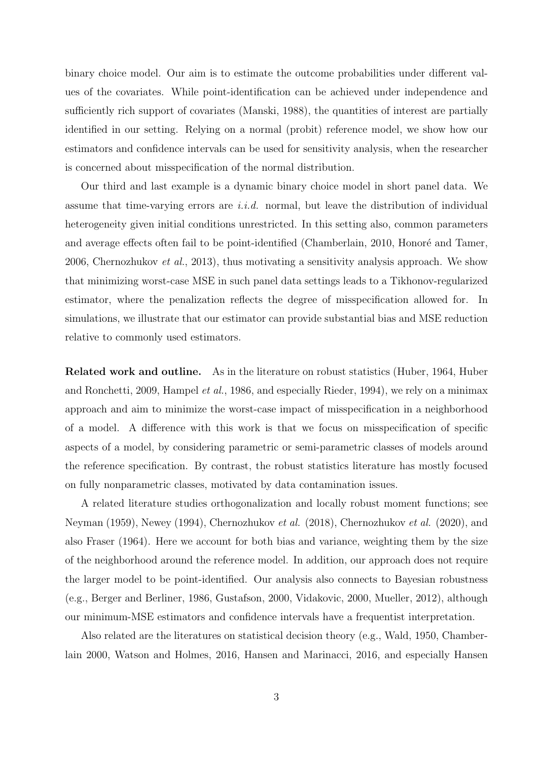binary choice model. Our aim is to estimate the outcome probabilities under different values of the covariates. While point-identification can be achieved under independence and sufficiently rich support of covariates (Manski, 1988), the quantities of interest are partially identified in our setting. Relying on a normal (probit) reference model, we show how our estimators and confidence intervals can be used for sensitivity analysis, when the researcher is concerned about misspecification of the normal distribution.

Our third and last example is a dynamic binary choice model in short panel data. We assume that time-varying errors are  $i.i.d.$  normal, but leave the distribution of individual heterogeneity given initial conditions unrestricted. In this setting also, common parameters and average effects often fail to be point-identified (Chamberlain, 2010, Honoré and Tamer, 2006, Chernozhukov et al., 2013), thus motivating a sensitivity analysis approach. We show that minimizing worst-case MSE in such panel data settings leads to a Tikhonov-regularized estimator, where the penalization reflects the degree of misspecification allowed for. In simulations, we illustrate that our estimator can provide substantial bias and MSE reduction relative to commonly used estimators.

Related work and outline. As in the literature on robust statistics (Huber, 1964, Huber and Ronchetti, 2009, Hampel et al., 1986, and especially Rieder, 1994), we rely on a minimax approach and aim to minimize the worst-case impact of misspecification in a neighborhood of a model. A difference with this work is that we focus on misspecification of specific aspects of a model, by considering parametric or semi-parametric classes of models around the reference specification. By contrast, the robust statistics literature has mostly focused on fully nonparametric classes, motivated by data contamination issues.

A related literature studies orthogonalization and locally robust moment functions; see Neyman (1959), Newey (1994), Chernozhukov et al. (2018), Chernozhukov et al. (2020), and also Fraser (1964). Here we account for both bias and variance, weighting them by the size of the neighborhood around the reference model. In addition, our approach does not require the larger model to be point-identified. Our analysis also connects to Bayesian robustness (e.g., Berger and Berliner, 1986, Gustafson, 2000, Vidakovic, 2000, Mueller, 2012), although our minimum-MSE estimators and confidence intervals have a frequentist interpretation.

Also related are the literatures on statistical decision theory (e.g., Wald, 1950, Chamberlain 2000, Watson and Holmes, 2016, Hansen and Marinacci, 2016, and especially Hansen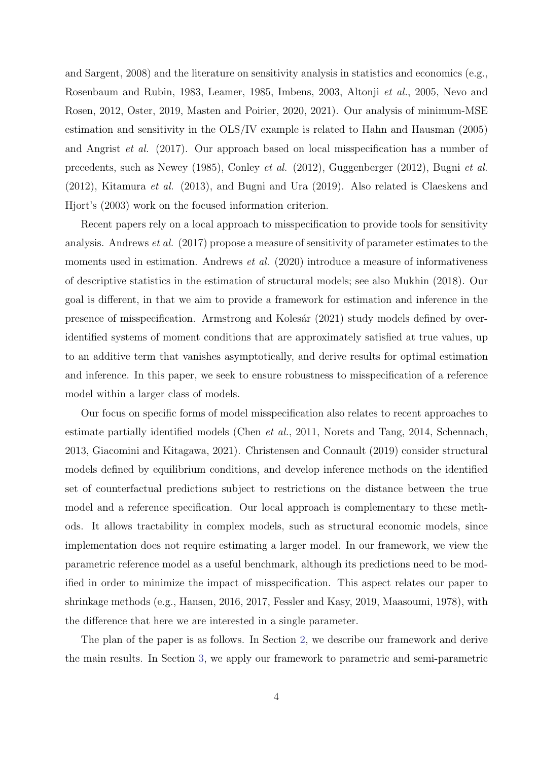and Sargent, 2008) and the literature on sensitivity analysis in statistics and economics (e.g., Rosenbaum and Rubin, 1983, Leamer, 1985, Imbens, 2003, Altonji et al., 2005, Nevo and Rosen, 2012, Oster, 2019, Masten and Poirier, 2020, 2021). Our analysis of minimum-MSE estimation and sensitivity in the OLS/IV example is related to Hahn and Hausman (2005) and Angrist et al. (2017). Our approach based on local misspecification has a number of precedents, such as Newey (1985), Conley et al. (2012), Guggenberger (2012), Bugni et al. (2012), Kitamura et al. (2013), and Bugni and Ura (2019). Also related is Claeskens and Hjort's (2003) work on the focused information criterion.

Recent papers rely on a local approach to misspecification to provide tools for sensitivity analysis. Andrews et al. (2017) propose a measure of sensitivity of parameter estimates to the moments used in estimation. Andrews *et al.* (2020) introduce a measure of informativeness of descriptive statistics in the estimation of structural models; see also Mukhin (2018). Our goal is different, in that we aim to provide a framework for estimation and inference in the presence of misspecification. Armstrong and Kolesár (2021) study models defined by overidentified systems of moment conditions that are approximately satisfied at true values, up to an additive term that vanishes asymptotically, and derive results for optimal estimation and inference. In this paper, we seek to ensure robustness to misspecification of a reference model within a larger class of models.

Our focus on specific forms of model misspecification also relates to recent approaches to estimate partially identified models (Chen et al., 2011, Norets and Tang, 2014, Schennach, 2013, Giacomini and Kitagawa, 2021). Christensen and Connault (2019) consider structural models defined by equilibrium conditions, and develop inference methods on the identified set of counterfactual predictions subject to restrictions on the distance between the true model and a reference specification. Our local approach is complementary to these methods. It allows tractability in complex models, such as structural economic models, since implementation does not require estimating a larger model. In our framework, we view the parametric reference model as a useful benchmark, although its predictions need to be modified in order to minimize the impact of misspecification. This aspect relates our paper to shrinkage methods (e.g., Hansen, 2016, 2017, Fessler and Kasy, 2019, Maasoumi, 1978), with the difference that here we are interested in a single parameter.

The plan of the paper is as follows. In Section [2,](#page-5-0) we describe our framework and derive the main results. In Section [3,](#page-14-0) we apply our framework to parametric and semi-parametric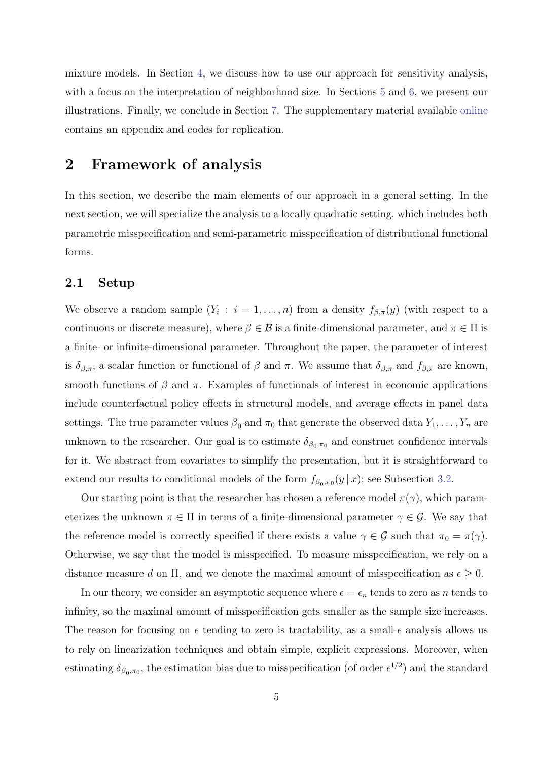mixture models. In Section [4,](#page-23-0) we discuss how to use our approach for sensitivity analysis, with a focus on the interpretation of neighborhood size. In Sections [5](#page-26-0) and [6,](#page-32-0) we present our illustrations. Finally, we conclude in Section [7.](#page-39-0) The supplementary material available [online](https://sites.google.com/site/stephanebonhommeresearch/) contains an appendix and codes for replication.

### <span id="page-5-0"></span>2 Framework of analysis

In this section, we describe the main elements of our approach in a general setting. In the next section, we will specialize the analysis to a locally quadratic setting, which includes both parametric misspecification and semi-parametric misspecification of distributional functional forms.

### 2.1 Setup

We observe a random sample  $(Y_i : i = 1, ..., n)$  from a density  $f_{\beta,\pi}(y)$  (with respect to a continuous or discrete measure), where  $\beta \in \mathcal{B}$  is a finite-dimensional parameter, and  $\pi \in \Pi$  is a finite- or infinite-dimensional parameter. Throughout the paper, the parameter of interest is  $\delta_{\beta,\pi}$ , a scalar function or functional of  $\beta$  and  $\pi$ . We assume that  $\delta_{\beta,\pi}$  and  $f_{\beta,\pi}$  are known, smooth functions of  $\beta$  and  $\pi$ . Examples of functionals of interest in economic applications include counterfactual policy effects in structural models, and average effects in panel data settings. The true parameter values  $\beta_0$  and  $\pi_0$  that generate the observed data  $Y_1, \ldots, Y_n$  are unknown to the researcher. Our goal is to estimate  $\delta_{\beta_0,\pi_0}$  and construct confidence intervals for it. We abstract from covariates to simplify the presentation, but it is straightforward to extend our results to conditional models of the form  $f_{\beta_0,\pi_0}(y \mid x)$ ; see Subsection [3.2.](#page-15-0)

Our starting point is that the researcher has chosen a reference model  $\pi(\gamma)$ , which parameterizes the unknown  $\pi \in \Pi$  in terms of a finite-dimensional parameter  $\gamma \in \mathcal{G}$ . We say that the reference model is correctly specified if there exists a value  $\gamma \in \mathcal{G}$  such that  $\pi_0 = \pi(\gamma)$ . Otherwise, we say that the model is misspecified. To measure misspecification, we rely on a distance measure d on  $\Pi$ , and we denote the maximal amount of misspecification as  $\epsilon \geq 0$ .

In our theory, we consider an asymptotic sequence where  $\epsilon = \epsilon_n$  tends to zero as n tends to infinity, so the maximal amount of misspecification gets smaller as the sample size increases. The reason for focusing on  $\epsilon$  tending to zero is tractability, as a small- $\epsilon$  analysis allows us to rely on linearization techniques and obtain simple, explicit expressions. Moreover, when estimating  $\delta_{\beta_0,\pi_0}$ , the estimation bias due to misspecification (of order  $\epsilon^{1/2}$ ) and the standard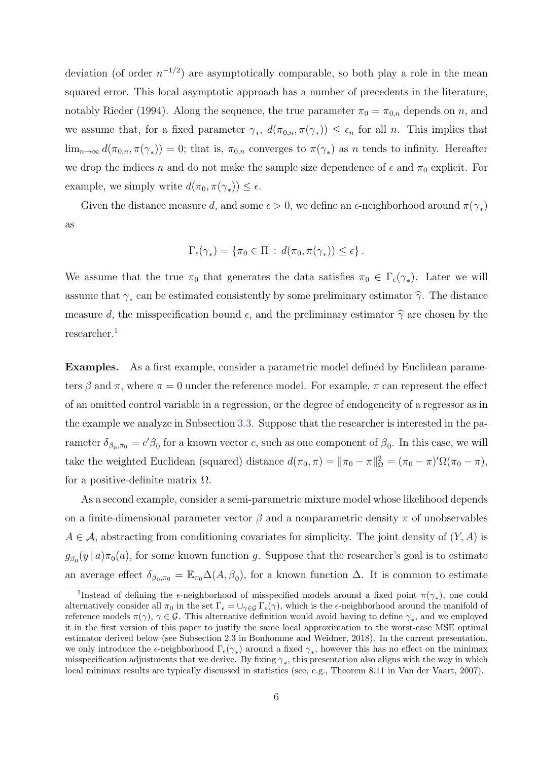deviation (of order  $n^{-1/2}$ ) are asymptotically comparable, so both play a role in the mean squared error. This local asymptotic approach has a number of precedents in the literature, notably Rieder (1994). Along the sequence, the true parameter  $\pi_0 = \pi_{0,n}$  depends on n, and we assume that, for a fixed parameter  $\gamma_*$ ,  $d(\pi_{0,n}, \pi(\gamma_*)) \leq \epsilon_n$  for all n. This implies that  $\lim_{n\to\infty} d(\pi_{0,n}, \pi(\gamma_*)) = 0$ ; that is,  $\pi_{0,n}$  converges to  $\pi(\gamma_*)$  as n tends to infinity. Hereafter we drop the indices n and do not make the sample size dependence of  $\epsilon$  and  $\pi_0$  explicit. For example, we simply write  $d(\pi_0, \pi(\gamma_*)) \leq \epsilon$ .

Given the distance measure d, and some  $\epsilon > 0$ , we define an  $\epsilon$ -neighborhood around  $\pi(\gamma_*)$ as

$$
\Gamma_{\epsilon}(\gamma_*) = \{ \pi_0 \in \Pi \, : \, d(\pi_0, \pi(\gamma_*)) \leq \epsilon \} \, .
$$

We assume that the true  $\pi_0$  that generates the data satisfies  $\pi_0 \in \Gamma_{\epsilon}(\gamma_*)$ . Later we will assume that  $\gamma_*$  can be estimated consistently by some preliminary estimator  $\hat{\gamma}$ . The distance measure d, the misspecification bound  $\epsilon$ , and the preliminary estimator  $\hat{\gamma}$  are chosen by the researcher.<sup>[1](#page-6-0)</sup>

Examples. As a first example, consider a parametric model defined by Euclidean parameters  $\beta$  and  $\pi$ , where  $\pi = 0$  under the reference model. For example,  $\pi$  can represent the effect of an omitted control variable in a regression, or the degree of endogeneity of a regressor as in the example we analyze in Subsection [3.3.](#page-16-0) Suppose that the researcher is interested in the parameter  $\delta_{\beta_0,\pi_0} = c'\beta_0$  for a known vector c, such as one component of  $\beta_0$ . In this case, we will take the weighted Euclidean (squared) distance  $d(\pi_0, \pi) = ||\pi_0 - \pi||_{\Omega}^2 = (\pi_0 - \pi)' \Omega(\pi_0 - \pi)$ , for a positive-definite matrix  $\Omega$ .

As a second example, consider a semi-parametric mixture model whose likelihood depends on a finite-dimensional parameter vector  $\beta$  and a nonparametric density  $\pi$  of unobservables  $A \in \mathcal{A}$ , abstracting from conditioning covariates for simplicity. The joint density of  $(Y, A)$  is  $g_{\beta_0}(y \mid a) \pi_0(a)$ , for some known function g. Suppose that the researcher's goal is to estimate an average effect  $\delta_{\beta_0,\pi_0} = \mathbb{E}_{\pi_0} \Delta(A,\beta_0)$ , for a known function  $\Delta$ . It is common to estimate

<span id="page-6-0"></span><sup>&</sup>lt;sup>1</sup>Instead of defining the  $\epsilon$ -neighborhood of misspecified models around a fixed point  $\pi(\gamma_*)$ , one could alternatively consider all  $\pi_0$  in the set  $\Gamma_\epsilon = \bigcup_{\gamma \in \mathcal{G}} \Gamma_\epsilon(\gamma)$ , which is the  $\epsilon$ -neighborhood around the manifold of reference models  $\pi(\gamma)$ ,  $\gamma \in \mathcal{G}$ . This alternative definition would avoid having to define  $\gamma_*$ , and we employed it in the first version of this paper to justify the same local approximation to the worst-case MSE optimal estimator derived below (see Subsection 2.3 in Bonhomme and Weidner, 2018). In the current presentation, we only introduce the  $\epsilon$ -neighborhood  $\Gamma_{\epsilon}(\gamma_*)$  around a fixed  $\gamma_*,$  however this has no effect on the minimax misspecification adjustments that we derive. By fixing  $\gamma_*$ , this presentation also aligns with the way in which local minimax results are typically discussed in statistics (see, e.g., Theorem 8.11 in Van der Vaart, 2007).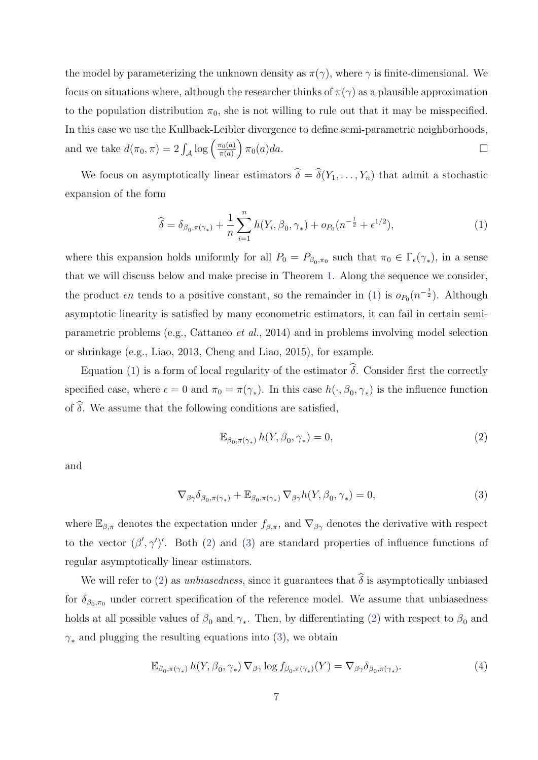the model by parameterizing the unknown density as  $\pi(\gamma)$ , where  $\gamma$  is finite-dimensional. We focus on situations where, although the researcher thinks of  $\pi(\gamma)$  as a plausible approximation to the population distribution  $\pi_0$ , she is not willing to rule out that it may be misspecified. In this case we use the Kullback-Leibler divergence to define semi-parametric neighborhoods, and we take  $d(\pi_0, \pi) = 2 \int_{\mathcal{A}} \log \left( \frac{\pi_0(a)}{\pi(a)} \right)$  $\left(\frac{\pi_0(a)}{\pi(a)}\right)\pi_0(a)da.$ 

We focus on asymptotically linear estimators  $\widehat{\delta} = \widehat{\delta}(Y_1, \ldots, Y_n)$  that admit a stochastic expansion of the form

<span id="page-7-0"></span>
$$
\widehat{\delta} = \delta_{\beta_0, \pi(\gamma_*)} + \frac{1}{n} \sum_{i=1}^n h(Y_i, \beta_0, \gamma_*) + o_{P_0}(n^{-\frac{1}{2}} + \epsilon^{1/2}), \tag{1}
$$

where this expansion holds uniformly for all  $P_0 = P_{\beta_0, \pi_0}$  such that  $\pi_0 \in \Gamma_{\epsilon}(\gamma_*)$ , in a sense that we will discuss below and make precise in Theorem [1.](#page-12-0) Along the sequence we consider, the product  $\epsilon n$  tends to a positive constant, so the remainder in [\(1\)](#page-7-0) is  $o_{P_0}(n^{-\frac{1}{2}})$ . Although asymptotic linearity is satisfied by many econometric estimators, it can fail in certain semiparametric problems (e.g., Cattaneo et al., 2014) and in problems involving model selection or shrinkage (e.g., Liao, 2013, Cheng and Liao, 2015), for example.

Equation [\(1\)](#page-7-0) is a form of local regularity of the estimator  $\hat{\delta}$ . Consider first the correctly specified case, where  $\epsilon = 0$  and  $\pi_0 = \pi(\gamma_*)$ . In this case  $h(\cdot, \beta_0, \gamma_*)$  is the influence function of  $\widehat{\delta}$ . We assume that the following conditions are satisfied,

<span id="page-7-2"></span><span id="page-7-1"></span>
$$
\mathbb{E}_{\beta_0, \pi(\gamma_*)} h(Y, \beta_0, \gamma_*) = 0,\tag{2}
$$

and

$$
\nabla_{\beta\gamma}\delta_{\beta_0,\pi(\gamma_*)} + \mathbb{E}_{\beta_0,\pi(\gamma_*)}\nabla_{\beta\gamma}h(Y,\beta_0,\gamma_*) = 0,\tag{3}
$$

where  $\mathbb{E}_{\beta,\pi}$  denotes the expectation under  $f_{\beta,\pi}$ , and  $\nabla_{\beta\gamma}$  denotes the derivative with respect to the vector  $(\beta', \gamma')'$ . Both [\(2\)](#page-7-1) and [\(3\)](#page-7-2) are standard properties of influence functions of regular asymptotically linear estimators.

We will refer to [\(2\)](#page-7-1) as *unbiasedness*, since it guarantees that  $\hat{\delta}$  is asymptotically unbiased for  $\delta_{\beta_0,\pi_0}$  under correct specification of the reference model. We assume that unbiasedness holds at all possible values of  $\beta_0$  and  $\gamma_*$ . Then, by differentiating [\(2\)](#page-7-1) with respect to  $\beta_0$  and  $\gamma_*$  and plugging the resulting equations into [\(3\)](#page-7-2), we obtain

<span id="page-7-3"></span>
$$
\mathbb{E}_{\beta_0, \pi(\gamma_*)} h(Y, \beta_0, \gamma_*) \nabla_{\beta \gamma} \log f_{\beta_0, \pi(\gamma_*)}(Y) = \nabla_{\beta \gamma} \delta_{\beta_0, \pi(\gamma_*)}.
$$
\n(4)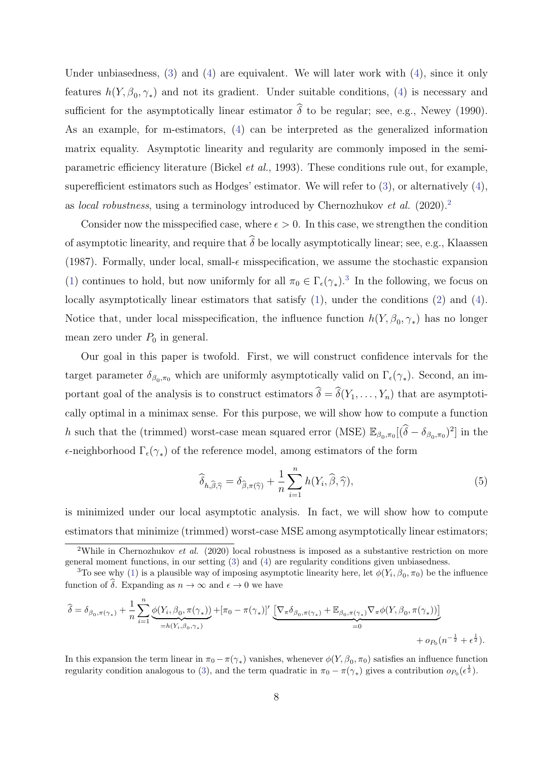Under unbiasedness, [\(3\)](#page-7-2) and [\(4\)](#page-7-3) are equivalent. We will later work with [\(4\)](#page-7-3), since it only features  $h(Y, \beta_0, \gamma_*)$  and not its gradient. Under suitable conditions, [\(4\)](#page-7-3) is necessary and sufficient for the asymptotically linear estimator  $\hat{\delta}$  to be regular; see, e.g., Newey (1990). As an example, for m-estimators, [\(4\)](#page-7-3) can be interpreted as the generalized information matrix equality. Asymptotic linearity and regularity are commonly imposed in the semiparametric efficiency literature (Bickel et al., 1993). These conditions rule out, for example, superefficient estimators such as Hodges' estimator. We will refer to [\(3\)](#page-7-2), or alternatively [\(4\)](#page-7-3), as *local robustness*, using a terminology introduced by Chernozhukov *et al.* ([2](#page-8-0)020).<sup>2</sup>

Consider now the misspecified case, where  $\epsilon > 0$ . In this case, we strengthen the condition of asymptotic linearity, and require that  $\widehat{\delta}$  be locally asymptotically linear; see, e.g., Klaassen (1987). Formally, under local, small- $\epsilon$  misspecification, we assume the stochastic expansion [\(1\)](#page-7-0) continues to hold, but now uniformly for all  $\pi_0 \in \Gamma_{\epsilon}(\gamma_*)$ .<sup>[3](#page-8-1)</sup> In the following, we focus on locally asymptotically linear estimators that satisfy  $(1)$ , under the conditions  $(2)$  and  $(4)$ . Notice that, under local misspecification, the influence function  $h(Y, \beta_0, \gamma_*)$  has no longer mean zero under  $P_0$  in general.

Our goal in this paper is twofold. First, we will construct confidence intervals for the target parameter  $\delta_{\beta_0,\pi_0}$  which are uniformly asymptotically valid on  $\Gamma_{\epsilon}(\gamma_*)$ . Second, an important goal of the analysis is to construct estimators  $\hat{\delta} = \hat{\delta}(Y_1, \ldots, Y_n)$  that are asymptotically optimal in a minimax sense. For this purpose, we will show how to compute a function h such that the (trimmed) worst-case mean squared error (MSE)  $\mathbb{E}_{\beta_0,\pi_0}[(\hat{\delta}-\delta_{\beta_0,\pi_0})^2]$  in the  $\epsilon$ -neighborhood  $\Gamma_{\epsilon}(\gamma_{*})$  of the reference model, among estimators of the form

$$
\widehat{\delta}_{h,\widehat{\beta},\widehat{\gamma}} = \delta_{\widehat{\beta},\pi(\widehat{\gamma})} + \frac{1}{n} \sum_{i=1}^{n} h(Y_i, \widehat{\beta}, \widehat{\gamma}), \tag{5}
$$

is minimized under our local asymptotic analysis. In fact, we will show how to compute estimators that minimize (trimmed) worst-case MSE among asymptotically linear estimators;

$$
\widehat{\delta} = \delta_{\beta_0, \pi(\gamma_*)} + \frac{1}{n} \sum_{i=1}^n \underbrace{\phi(Y_i, \beta_0, \pi(\gamma_*))}_{=h(Y_i, \beta_0, \gamma_*)} + [\pi_0 - \pi(\gamma_*)]' \underbrace{\left[\nabla_{\pi} \delta_{\beta_0, \pi(\gamma_*)} + \mathbb{E}_{\beta_0, \pi(\gamma_*)} \nabla_{\pi} \phi(Y, \beta_0, \pi(\gamma_*))\right]}_{=0} + o_{P_0}(n^{-\frac{1}{2}} + \epsilon^{\frac{1}{2}}).
$$

In this expansion the term linear in  $\pi_0 - \pi(\gamma_*)$  vanishes, whenever  $\phi(Y, \beta_0, \pi_0)$  satisfies an influence function regularity condition analogous to [\(3\)](#page-7-2), and the term quadratic in  $\pi_0 - \pi(\gamma_*)$  gives a contribution  $o_{P_0}(\epsilon^{\frac{1}{2}})$ .

<span id="page-8-0"></span><sup>&</sup>lt;sup>2</sup>While in Chernozhukov *et al.* (2020) local robustness is imposed as a substantive restriction on more general moment functions, in our setting [\(3\)](#page-7-2) and [\(4\)](#page-7-3) are regularity conditions given unbiasedness.

<span id="page-8-1"></span><sup>&</sup>lt;sup>3</sup>To see why [\(1\)](#page-7-0) is a plausible way of imposing asymptotic linearity here, let  $\phi(Y_i, \beta_0, \pi_0)$  be the influence function of  $\widehat{\delta}$ . Expanding as  $n \to \infty$  and  $\epsilon \to 0$  we have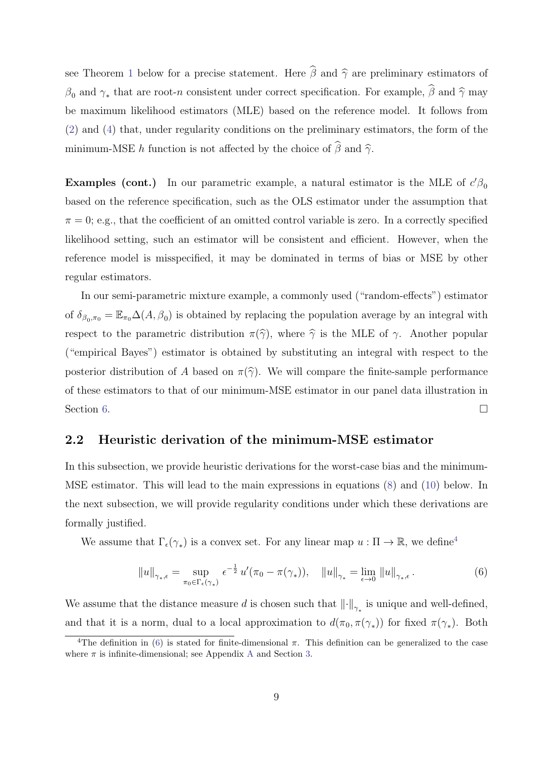see Theorem [1](#page-12-0) below for a precise statement. Here  $\widehat{\beta}$  and  $\widehat{\gamma}$  are preliminary estimators of  $\beta_0$  and  $\gamma_*$  that are root-n consistent under correct specification. For example,  $\beta$  and  $\widehat{\gamma}$  may be maximum likelihood estimators (MLE) based on the reference model. It follows from [\(2\)](#page-7-1) and [\(4\)](#page-7-3) that, under regularity conditions on the preliminary estimators, the form of the minimum-MSE h function is not affected by the choice of  $\hat{\beta}$  and  $\hat{\gamma}$ .

Examples (cont.) In our parametric example, a natural estimator is the MLE of  $c'\beta_0$ based on the reference specification, such as the OLS estimator under the assumption that  $\pi = 0$ ; e.g., that the coefficient of an omitted control variable is zero. In a correctly specified likelihood setting, such an estimator will be consistent and efficient. However, when the reference model is misspecified, it may be dominated in terms of bias or MSE by other regular estimators.

In our semi-parametric mixture example, a commonly used ("random-effects") estimator of  $\delta_{\beta_0,\pi_0} = \mathbb{E}_{\pi_0} \Delta(A,\beta_0)$  is obtained by replacing the population average by an integral with respect to the parametric distribution  $\pi(\hat{\gamma})$ , where  $\hat{\gamma}$  is the MLE of  $\gamma$ . Another popular ("empirical Bayes") estimator is obtained by substituting an integral with respect to the posterior distribution of A based on  $\pi(\hat{\gamma})$ . We will compare the finite-sample performance of these estimators to that of our minimum-MSE estimator in our panel data illustration in Section [6.](#page-32-0)

### 2.2 Heuristic derivation of the minimum-MSE estimator

In this subsection, we provide heuristic derivations for the worst-case bias and the minimum-MSE estimator. This will lead to the main expressions in equations [\(8\)](#page-10-0) and [\(10\)](#page-10-1) below. In the next subsection, we will provide regularity conditions under which these derivations are formally justified.

We assume that  $\Gamma_{\epsilon}(\gamma_*)$  is a convex set. For any linear map  $u : \Pi \to \mathbb{R}$ , we define<sup>[4](#page-9-0)</sup>

<span id="page-9-1"></span>
$$
||u||_{\gamma_*,\epsilon} = \sup_{\pi_0 \in \Gamma_{\epsilon}(\gamma_*)} \epsilon^{-\frac{1}{2}} u'(\pi_0 - \pi(\gamma_*)), \quad ||u||_{\gamma_*} = \lim_{\epsilon \to 0} ||u||_{\gamma_*,\epsilon}.
$$
 (6)

We assume that the distance measure d is chosen such that  $\left\|\cdot\right\|_{\gamma_*}$  is unique and well-defined, and that it is a norm, dual to a local approximation to  $d(\pi_0, \pi(\gamma_*))$  for fixed  $\pi(\gamma_*)$ . Both

<span id="page-9-0"></span><sup>&</sup>lt;sup>4</sup>The definition in [\(6\)](#page-9-1) is stated for finite-dimensional  $\pi$ . This definition can be generalized to the case where  $\pi$  is infinite-dimensional; see [A](#page--1-0)ppendix A and Section [3.](#page-14-0)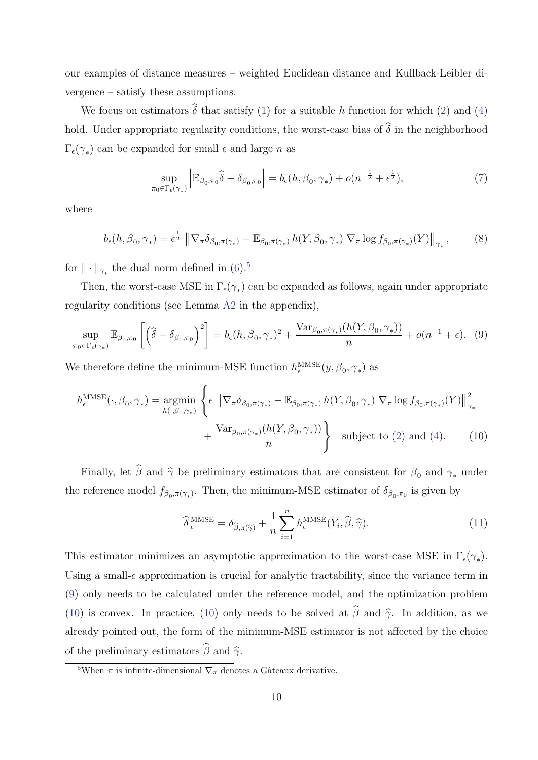our examples of distance measures – weighted Euclidean distance and Kullback-Leibler divergence – satisfy these assumptions.

We focus on estimators  $\widehat{\delta}$  that satisfy [\(1\)](#page-7-0) for a suitable h function for which [\(2\)](#page-7-1) and [\(4\)](#page-7-3) hold. Under appropriate regularity conditions, the worst-case bias of  $\widehat{\delta}$  in the neighborhood  $\Gamma_{\epsilon}(\gamma_*)$  can be expanded for small  $\epsilon$  and large n as

<span id="page-10-4"></span><span id="page-10-0"></span>
$$
\sup_{\pi_0 \in \Gamma_{\epsilon}(\gamma_*)} \left| \mathbb{E}_{\beta_0, \pi_0} \widehat{\delta} - \delta_{\beta_0, \pi_0} \right| = b_{\epsilon}(h, \beta_0, \gamma_*) + o(n^{-\frac{1}{2}} + \epsilon^{\frac{1}{2}}),\tag{7}
$$

where

$$
b_{\epsilon}(h,\beta_0,\gamma_*)=\epsilon^{\frac{1}{2}}\left\|\nabla_{\pi}\delta_{\beta_0,\pi(\gamma_*)}-\mathbb{E}_{\beta_0,\pi(\gamma_*)}h(Y,\beta_0,\gamma_*)\nabla_{\pi}\log f_{\beta_0,\pi(\gamma_*)}(Y)\right\|_{\gamma_*},\tag{8}
$$

for  $\|\cdot\|_{\gamma_*}$  the dual norm defined in [\(6\)](#page-9-1).<sup>[5](#page-10-2)</sup>

Then, the worst-case MSE in  $\Gamma_{\epsilon}(\gamma_*)$  can be expanded as follows, again under appropriate regularity conditions (see Lemma [A2](#page--1-1) in the appendix),

$$
\sup_{\pi_0 \in \Gamma_{\epsilon}(\gamma_*)} \mathbb{E}_{\beta_0, \pi_0} \left[ \left( \widehat{\delta} - \delta_{\beta_0, \pi_0} \right)^2 \right] = b_{\epsilon}(h, \beta_0, \gamma_*)^2 + \frac{\text{Var}_{\beta_0, \pi(\gamma_*)}(h(Y, \beta_0, \gamma_*))}{n} + o(n^{-1} + \epsilon). \tag{9}
$$

We therefore define the minimum-MSE function  $h_{\epsilon}^{\text{MMSE}}(y, \beta_0, \gamma_*)$  as

$$
h_{\epsilon}^{\text{MMSE}}(\cdot, \beta_0, \gamma_*) = \underset{h(\cdot, \beta_0, \gamma_*)}{\operatorname{argmin}} \left\{ \epsilon \left\| \nabla_{\pi} \delta_{\beta_0, \pi(\gamma_*)} - \mathbb{E}_{\beta_0, \pi(\gamma_*)} h(Y, \beta_0, \gamma_*) \nabla_{\pi} \log f_{\beta_0, \pi(\gamma_*)}(Y) \right\|_{\gamma_*}^2 + \frac{\operatorname{Var}_{\beta_0, \pi(\gamma_*)} (h(Y, \beta_0, \gamma_*))}{n} \right\}
$$
 subject to (2) and (4). (10)

Finally, let  $\widehat{\beta}$  and  $\widehat{\gamma}$  be preliminary estimators that are consistent for  $\beta_0$  and  $\gamma_*$  under the reference model  $f_{\beta_0, \pi(\gamma_*)}$ . Then, the minimum-MSE estimator of  $\delta_{\beta_0, \pi_0}$  is given by

<span id="page-10-3"></span><span id="page-10-1"></span>
$$
\widehat{\delta}_{\epsilon}^{\text{MMSE}} = \delta_{\widehat{\beta}, \pi(\widehat{\gamma})} + \frac{1}{n} \sum_{i=1}^{n} h_{\epsilon}^{\text{MMSE}}(Y_i, \widehat{\beta}, \widehat{\gamma}). \tag{11}
$$

This estimator minimizes an asymptotic approximation to the worst-case MSE in  $\Gamma_{\epsilon}(\gamma_*)$ . Using a small- $\epsilon$  approximation is crucial for analytic tractability, since the variance term in [\(9\)](#page-10-3) only needs to be calculated under the reference model, and the optimization problem [\(10\)](#page-10-1) is convex. In practice, [\(10\)](#page-10-1) only needs to be solved at  $\hat{\beta}$  and  $\hat{\gamma}$ . In addition, as we already pointed out, the form of the minimum-MSE estimator is not affected by the choice of the preliminary estimators  $\widehat{\beta}$  and  $\widehat{\gamma}$ .

<span id="page-10-2"></span><sup>&</sup>lt;sup>5</sup>When  $\pi$  is infinite-dimensional  $\nabla_{\pi}$  denotes a Gâteaux derivative.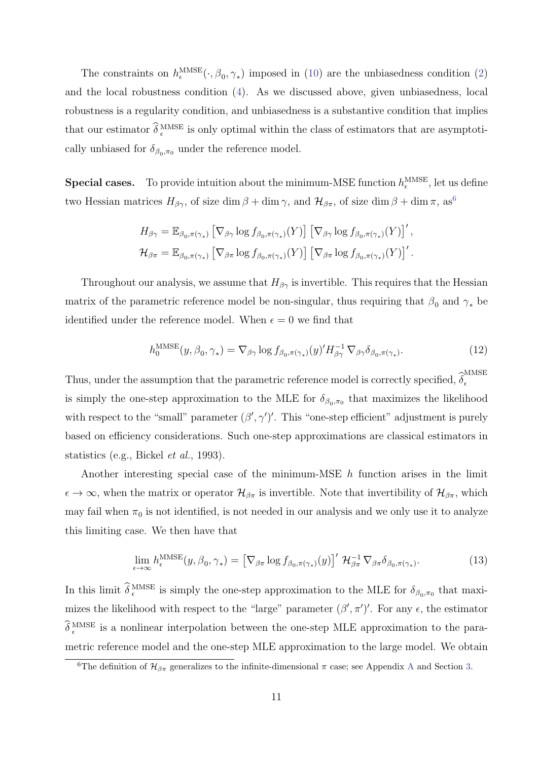The constraints on  $h_{\epsilon}^{\text{MMSE}}(\cdot, \beta_0, \gamma_*)$  imposed in [\(10\)](#page-10-1) are the unbiasedness condition [\(2\)](#page-7-1) and the local robustness condition [\(4\)](#page-7-3). As we discussed above, given unbiasedness, local robustness is a regularity condition, and unbiasedness is a substantive condition that implies that our estimator  $\delta_{\epsilon}^{\text{MMSE}}$  is only optimal within the class of estimators that are asymptotically unbiased for  $\delta_{\beta_0,\pi_0}$  under the reference model.

**Special cases.** To provide intuition about the minimum-MSE function  $h_{\epsilon}^{\text{MMSE}}$ , let us define two Hessian matrices  $H_{\beta\gamma}$ , of size dim  $\beta + \dim \gamma$ , and  $\mathcal{H}_{\beta\pi}$ , of size dim  $\beta + \dim \pi$ , as<sup>[6](#page-11-0)</sup>

$$
H_{\beta\gamma} = \mathbb{E}_{\beta_0, \pi(\gamma_*)} \left[ \nabla_{\beta\gamma} \log f_{\beta_0, \pi(\gamma_*)}(Y) \right] \left[ \nabla_{\beta\gamma} \log f_{\beta_0, \pi(\gamma_*)}(Y) \right]',
$$
  

$$
\mathcal{H}_{\beta\pi} = \mathbb{E}_{\beta_0, \pi(\gamma_*)} \left[ \nabla_{\beta\pi} \log f_{\beta_0, \pi(\gamma_*)}(Y) \right] \left[ \nabla_{\beta\pi} \log f_{\beta_0, \pi(\gamma_*)}(Y) \right]'.
$$

Throughout our analysis, we assume that  $H_{\beta\gamma}$  is invertible. This requires that the Hessian matrix of the parametric reference model be non-singular, thus requiring that  $\beta_0$  and  $\gamma_*$  be identified under the reference model. When  $\epsilon = 0$  we find that

<span id="page-11-2"></span>
$$
h_0^{\text{MMSE}}(y,\beta_0,\gamma_*) = \nabla_{\beta\gamma} \log f_{\beta_0,\pi(\gamma_*)}(y)' H_{\beta\gamma}^{-1} \nabla_{\beta\gamma} \delta_{\beta_0,\pi(\gamma_*)}.
$$
 (12)

Thus, under the assumption that the parametric reference model is correctly specified,  $\widehat{\delta}_{\epsilon}^{\text{MMSE}}$  $\epsilon$ is simply the one-step approximation to the MLE for  $\delta_{\beta_0,\pi_0}$  that maximizes the likelihood with respect to the "small" parameter  $(\beta', \gamma')'$ . This "one-step efficient" adjustment is purely based on efficiency considerations. Such one-step approximations are classical estimators in statistics (e.g., Bickel et al., 1993).

Another interesting special case of the minimum-MSE  $h$  function arises in the limit  $\epsilon \to \infty$ , when the matrix or operator  $\mathcal{H}_{\beta\pi}$  is invertible. Note that invertibility of  $\mathcal{H}_{\beta\pi}$ , which may fail when  $\pi_0$  is not identified, is not needed in our analysis and we only use it to analyze this limiting case. We then have that

<span id="page-11-1"></span>
$$
\lim_{\epsilon \to \infty} h_{\epsilon}^{\text{MMSE}}(y, \beta_0, \gamma_*) = \left[ \nabla_{\beta \pi} \log f_{\beta_0, \pi(\gamma_*)}(y) \right]' \mathcal{H}_{\beta \pi}^{-1} \nabla_{\beta \pi} \delta_{\beta_0, \pi(\gamma_*)}. \tag{13}
$$

In this limit  $\delta_{\epsilon}^{\text{MMSE}}$  is simply the one-step approximation to the MLE for  $\delta_{\beta_0,\pi_0}$  that maximizes the likelihood with respect to the "large" parameter  $(\beta', \pi')'$ . For any  $\epsilon$ , the estimator  $\delta_{\epsilon}^{\text{MMSE}}$  is a nonlinear interpolation between the one-step MLE approximation to the parametric reference model and the one-step MLE approximation to the large model. We obtain

<span id="page-11-0"></span><sup>&</sup>lt;sup>6</sup>The definition of  $\mathcal{H}_{\beta\pi}$  generalizes to the infinite-dimensional  $\pi$  case; see [A](#page--1-0)ppendix A and Section [3.](#page-14-0)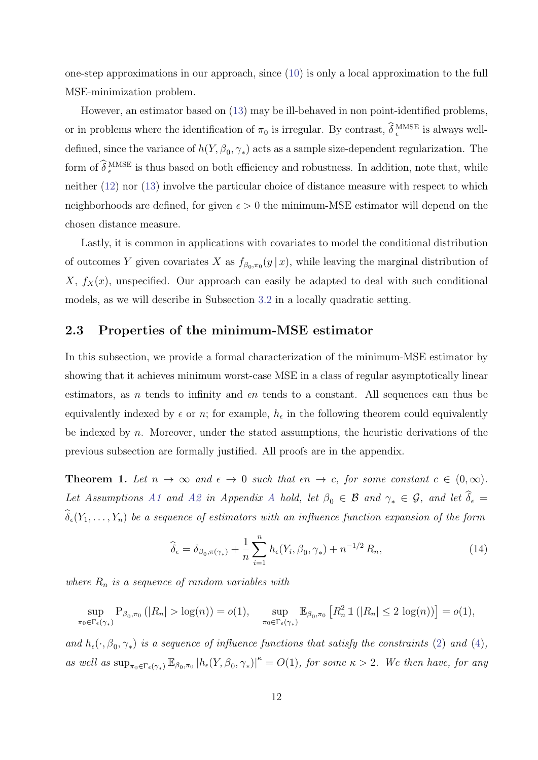one-step approximations in our approach, since [\(10\)](#page-10-1) is only a local approximation to the full MSE-minimization problem.

However, an estimator based on [\(13\)](#page-11-1) may be ill-behaved in non point-identified problems, or in problems where the identification of  $\pi_0$  is irregular. By contrast,  $\delta_{\epsilon}^{\text{MMSE}}$  is always welldefined, since the variance of  $h(Y, \beta_0, \gamma_*)$  acts as a sample size-dependent regularization. The form of  $\delta_{\epsilon}^{\text{MMSE}}$  is thus based on both efficiency and robustness. In addition, note that, while neither [\(12\)](#page-11-2) nor [\(13\)](#page-11-1) involve the particular choice of distance measure with respect to which neighborhoods are defined, for given  $\epsilon > 0$  the minimum-MSE estimator will depend on the chosen distance measure.

Lastly, it is common in applications with covariates to model the conditional distribution of outcomes Y given covariates X as  $f_{\beta_0,\pi_0}(y|x)$ , while leaving the marginal distribution of  $X, f_X(x)$ , unspecified. Our approach can easily be adapted to deal with such conditional models, as we will describe in Subsection [3.2](#page-15-0) in a locally quadratic setting.

### 2.3 Properties of the minimum-MSE estimator

In this subsection, we provide a formal characterization of the minimum-MSE estimator by showing that it achieves minimum worst-case MSE in a class of regular asymptotically linear estimators, as *n* tends to infinity and  $\epsilon n$  tends to a constant. All sequences can thus be equivalently indexed by  $\epsilon$  or n; for example,  $h_{\epsilon}$  in the following theorem could equivalently be indexed by  $n$ . Moreover, under the stated assumptions, the heuristic derivations of the previous subsection are formally justified. All proofs are in the appendix.

<span id="page-12-0"></span>**Theorem 1.** Let  $n \to \infty$  and  $\epsilon \to 0$  such that  $\epsilon n \to c$ , for some constant  $c \in (0,\infty)$ . Let Assumptions [A1](#page--1-2) and [A2](#page--1-3) in [A](#page--1-0)ppendix A hold, let  $\beta_0 \in \mathcal{B}$  and  $\gamma_* \in \mathcal{G}$ , and let  $\widehat{\delta}_{\epsilon} =$  $\widehat{\delta}_{\epsilon}(Y_1,\ldots,Y_n)$  be a sequence of estimators with an influence function expansion of the form

<span id="page-12-1"></span>
$$
\widehat{\delta}_{\epsilon} = \delta_{\beta_0, \pi(\gamma_*)} + \frac{1}{n} \sum_{i=1}^n h_{\epsilon}(Y_i, \beta_0, \gamma_*) + n^{-1/2} R_n,
$$
\n(14)

where  $R_n$  is a sequence of random variables with

$$
\sup_{\pi_0 \in \Gamma_{\epsilon}(\gamma_*)} P_{\beta_0, \pi_0}(|R_n| > \log(n)) = o(1), \quad \sup_{\pi_0 \in \Gamma_{\epsilon}(\gamma_*)} \mathbb{E}_{\beta_0, \pi_0} [R_n^2 1\left(|R_n| \le 2 \log(n)\right)] = o(1),
$$

and  $h_{\epsilon}(\cdot,\beta_0,\gamma_*)$  is a sequence of influence functions that satisfy the constraints [\(2\)](#page-7-1) and [\(4\)](#page-7-3), as well as  $\sup_{\pi_0 \in \Gamma_{\epsilon}(\gamma_*)} \mathbb{E}_{\beta_0, \pi_0} |h_{\epsilon}(Y, \beta_0, \gamma_*)|^{\kappa} = O(1)$ , for some  $\kappa > 2$ . We then have, for any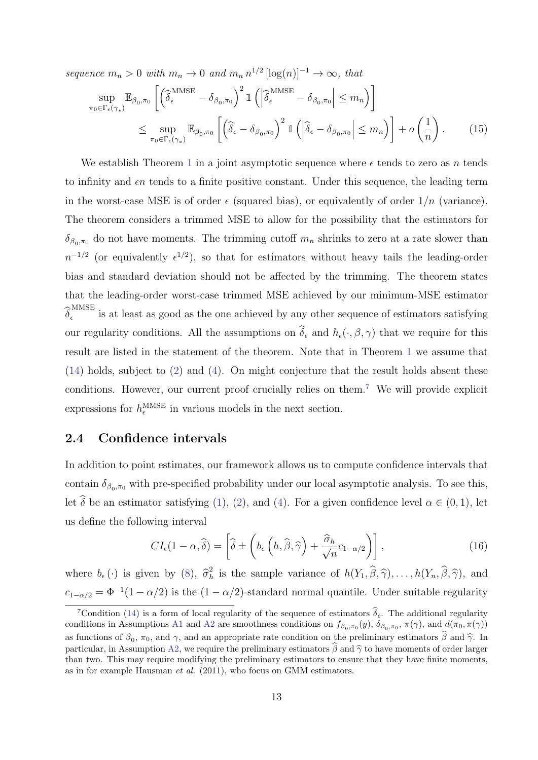sequence  $m_n > 0$  with  $m_n \to 0$  and  $m_n n^{1/2} [\log(n)]^{-1} \to \infty$ , that

$$
\sup_{\pi_0 \in \Gamma_{\epsilon}(\gamma_*)} \mathbb{E}_{\beta_0, \pi_0} \left[ \left( \widehat{\delta}_{\epsilon}^{\text{MMSE}} - \delta_{\beta_0, \pi_0} \right)^2 \mathbb{1} \left( \left| \widehat{\delta}_{\epsilon}^{\text{MMSE}} - \delta_{\beta_0, \pi_0} \right| \le m_n \right) \right]
$$
\n
$$
\le \sup_{\pi_0 \in \Gamma_{\epsilon}(\gamma_*)} \mathbb{E}_{\beta_0, \pi_0} \left[ \left( \widehat{\delta}_{\epsilon} - \delta_{\beta_0, \pi_0} \right)^2 \mathbb{1} \left( \left| \widehat{\delta}_{\epsilon} - \delta_{\beta_0, \pi_0} \right| \le m_n \right) \right] + o\left( \frac{1}{n} \right). \tag{15}
$$

We establish Theorem [1](#page-12-0) in a joint asymptotic sequence where  $\epsilon$  tends to zero as n tends to infinity and  $\epsilon n$  tends to a finite positive constant. Under this sequence, the leading term in the worst-case MSE is of order  $\epsilon$  (squared bias), or equivalently of order  $1/n$  (variance). The theorem considers a trimmed MSE to allow for the possibility that the estimators for  $\delta_{\beta_0,\pi_0}$  do not have moments. The trimming cutoff  $m_n$  shrinks to zero at a rate slower than  $n^{-1/2}$  (or equivalently  $\epsilon^{1/2}$ ), so that for estimators without heavy tails the leading-order bias and standard deviation should not be affected by the trimming. The theorem states that the leading-order worst-case trimmed MSE achieved by our minimum-MSE estimator  $\widehat{\delta}_{\epsilon}^{\mathrm{MMSE}}$  $\frac{1}{\epsilon}$  is at least as good as the one achieved by any other sequence of estimators satisfying our regularity conditions. All the assumptions on  $\widehat{\delta}_{\epsilon}$  and  $h_{\epsilon}(\cdot,\beta,\gamma)$  that we require for this result are listed in the statement of the theorem. Note that in Theorem [1](#page-12-0) we assume that  $(14)$  holds, subject to  $(2)$  and  $(4)$ . On might conjecture that the result holds absent these conditions. However, our current proof crucially relies on them.<sup>[7](#page-13-0)</sup> We will provide explicit expressions for  $h_{\epsilon}^{\text{MMSE}}$  in various models in the next section.

### 2.4 Confidence intervals

In addition to point estimates, our framework allows us to compute confidence intervals that contain  $\delta_{\beta_0,\pi_0}$  with pre-specified probability under our local asymptotic analysis. To see this, let  $\delta$  be an estimator satisfying [\(1\)](#page-7-0), [\(2\)](#page-7-1), and [\(4\)](#page-7-3). For a given confidence level  $\alpha \in (0,1)$ , let us define the following interval

$$
CI_{\epsilon}(1-\alpha,\widehat{\delta}) = \left[\widehat{\delta} \pm \left(b_{\epsilon}\left(h,\widehat{\beta},\widehat{\gamma}\right) + \frac{\widehat{\sigma}_h}{\sqrt{n}}c_{1-\alpha/2}\right)\right],\tag{16}
$$

where  $b_{\epsilon}(\cdot)$  is given by [\(8\)](#page-10-0),  $\hat{\sigma}_h^2$  $h_h^2$  is the sample variance of  $h(Y_1, \beta, \hat{\gamma}), \ldots, h(Y_n, \beta, \hat{\gamma}),$  and  $c_{1-\alpha/2} = \Phi^{-1}(1-\alpha/2)$  is the  $(1-\alpha/2)$ -standard normal quantile. Under suitable regularity

<span id="page-13-0"></span><sup>&</sup>lt;sup>7</sup>Condition [\(14\)](#page-12-1) is a form of local regularity of the sequence of estimators  $\hat{\delta}_{\epsilon}$ . The additional regularity conditions in Assumptions [A1](#page--1-2) and [A2](#page--1-3) are smoothness conditions on  $f_{\beta_0,\pi_0}(y)$ ,  $\delta_{\beta_0,\pi_0}$ ,  $\pi(\gamma)$ , and  $d(\pi_0,\pi(\gamma))$ as functions of  $\beta_0$ ,  $\pi_0$ , and  $\gamma$ , and an appropriate rate condition on the preliminary estimators  $\beta$  and  $\hat{\gamma}$ . In particular, in Assumption [A2,](#page--1-3) we require the preliminary estimators  $\hat{\beta}$  and  $\hat{\gamma}$  to have moments of order larger than two. This may require modifying the preliminary estimators to ensure that they have finite moments, as in for example Hausman et al. (2011), who focus on GMM estimators.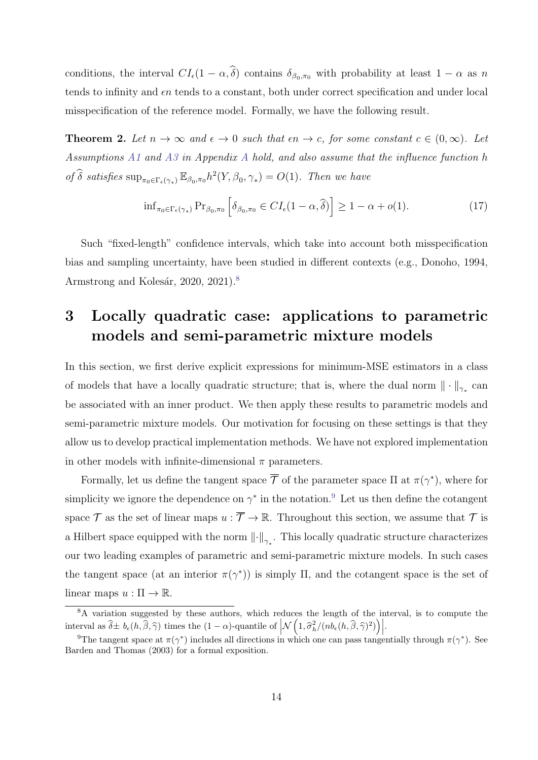conditions, the interval  $CI_{\epsilon}(1-\alpha,\delta)$  contains  $\delta_{\beta_0,\pi_0}$  with probability at least  $1-\alpha$  as n tends to infinity and  $\epsilon n$  tends to a constant, both under correct specification and under local misspecification of the reference model. Formally, we have the following result.

**Theorem 2.** Let  $n \to \infty$  and  $\epsilon \to 0$  such that  $\epsilon n \to c$ , for some constant  $c \in (0,\infty)$ . Let Assumptions [A1](#page--1-2) and [A3](#page--1-4) in Appendix [A](#page--1-0) hold, and also assume that the influence function h of  $\widehat{\delta}$  satisfies  $\sup_{\pi_0 \in \Gamma_{\epsilon}(\gamma_*)} \mathbb{E}_{\beta_0, \pi_0} h^2(Y, \beta_0, \gamma_*) = O(1)$ . Then we have

$$
\inf_{\pi_0 \in \Gamma_{\epsilon}(\gamma_*)} \Pr_{\beta_0, \pi_0} \left[ \delta_{\beta_0, \pi_0} \in CI_{\epsilon} (1 - \alpha, \widehat{\delta}) \right] \ge 1 - \alpha + o(1). \tag{17}
$$

Such "fixed-length" confidence intervals, which take into account both misspecification bias and sampling uncertainty, have been studied in different contexts (e.g., Donoho, 1994, Armstrong and Kolesár, 2020, 2021). $8$ 

# <span id="page-14-0"></span>3 Locally quadratic case: applications to parametric models and semi-parametric mixture models

In this section, we first derive explicit expressions for minimum-MSE estimators in a class of models that have a locally quadratic structure; that is, where the dual norm  $\|\cdot\|_{\gamma_*}$  can be associated with an inner product. We then apply these results to parametric models and semi-parametric mixture models. Our motivation for focusing on these settings is that they allow us to develop practical implementation methods. We have not explored implementation in other models with infinite-dimensional  $\pi$  parameters.

Formally, let us define the tangent space  $\overline{\mathcal{T}}$  of the parameter space  $\Pi$  at  $\pi(\gamma^*)$ , where for simplicity we ignore the dependence on  $\gamma^*$  in the notation.<sup>[9](#page-14-2)</sup> Let us then define the cotangent space  $\mathcal T$  as the set of linear maps  $u : \overline{\mathcal T} \to \mathbb R$ . Throughout this section, we assume that  $\mathcal T$  is a Hilbert space equipped with the norm  $\left\|\cdot\right\|_{\gamma_*}$ . This locally quadratic structure characterizes our two leading examples of parametric and semi-parametric mixture models. In such cases the tangent space (at an interior  $\pi(\gamma^*)$ ) is simply  $\Pi$ , and the cotangent space is the set of linear maps  $u : \Pi \to \mathbb{R}$ .

<span id="page-14-1"></span><sup>8</sup>A variation suggested by these authors, which reduces the length of the interval, is to compute the interval as  $\hat{\delta} \pm b_{\epsilon}(h, \hat{\beta}, \hat{\gamma})$  times the  $(1 - \alpha)$ -quantile of  $\left| \mathcal{N}\left(1, \hat{\sigma}_h^2/(nb_{\epsilon}(h, \hat{\beta}, \hat{\gamma})^2)\right) \right|$ .

<span id="page-14-2"></span><sup>&</sup>lt;sup>9</sup>The tangent space at  $\pi(\gamma^*)$  includes all directions in which one can pass tangentially through  $\pi(\gamma^*)$ . See Barden and Thomas (2003) for a formal exposition.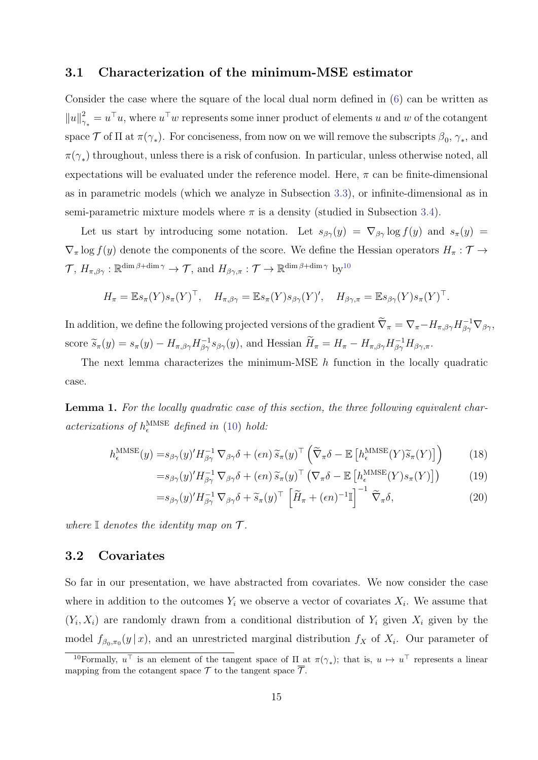#### <span id="page-15-5"></span>3.1 Characterization of the minimum-MSE estimator

Consider the case where the square of the local dual norm defined in [\(6\)](#page-9-1) can be written as  $||u||^2$  $\gamma_*^2 = u^\top u$ , where  $u^\top w$  represents some inner product of elements u and w of the cotangent space  $\mathcal T$  of  $\Pi$  at  $\pi(\gamma_*)$ . For conciseness, from now on we will remove the subscripts  $\beta_0, \gamma_*,$  and  $\pi(\gamma_*)$  throughout, unless there is a risk of confusion. In particular, unless otherwise noted, all expectations will be evaluated under the reference model. Here,  $\pi$  can be finite-dimensional as in parametric models (which we analyze in Subsection [3.3\)](#page-16-0), or infinite-dimensional as in semi-parametric mixture models where  $\pi$  is a density (studied in Subsection [3.4\)](#page-18-0).

Let us start by introducing some notation. Let  $s_{\beta\gamma}(y) = \nabla_{\beta\gamma} \log f(y)$  and  $s_{\pi}(y) =$  $\nabla_{\pi}$  log  $f(y)$  denote the components of the score. We define the Hessian operators  $H_{\pi}: \mathcal{T} \to$  $\mathcal{T}, H_{\pi,\beta\gamma} : \mathbb{R}^{\dim\beta + \dim\gamma} \to \mathcal{T}, \text{ and } H_{\beta\gamma,\pi} : \mathcal{T} \to \mathbb{R}^{\dim\beta + \dim\gamma} \text{ by}^{10}$  $\mathcal{T}, H_{\pi,\beta\gamma} : \mathbb{R}^{\dim\beta + \dim\gamma} \to \mathcal{T}, \text{ and } H_{\beta\gamma,\pi} : \mathcal{T} \to \mathbb{R}^{\dim\beta + \dim\gamma} \text{ by}^{10}$  $\mathcal{T}, H_{\pi,\beta\gamma} : \mathbb{R}^{\dim\beta + \dim\gamma} \to \mathcal{T}, \text{ and } H_{\beta\gamma,\pi} : \mathcal{T} \to \mathbb{R}^{\dim\beta + \dim\gamma} \text{ by}^{10}$ 

$$
H_{\pi} = \mathbb{E} s_{\pi}(Y) s_{\pi}(Y)^{\top}, \quad H_{\pi, \beta \gamma} = \mathbb{E} s_{\pi}(Y) s_{\beta \gamma}(Y)^{\prime}, \quad H_{\beta \gamma, \pi} = \mathbb{E} s_{\beta \gamma}(Y) s_{\pi}(Y)^{\top}.
$$

In addition, we define the following projected versions of the gradient  $\widetilde{\nabla}_{\pi} = \nabla_{\pi} - H_{\pi,\beta\gamma} H_{\beta\gamma}^{-1} \nabla_{\beta\gamma}$ , score  $\widetilde{s}_{\pi}(y) = s_{\pi}(y) - H_{\pi,\beta\gamma} H_{\beta\gamma}^{-1} s_{\beta\gamma}(y)$ , and Hessian  $\widetilde{H}_{\pi} = H_{\pi} - H_{\pi,\beta\gamma} H_{\beta\gamma}^{-1} H_{\beta\gamma,\pi}$ .

The next lemma characterizes the minimum-MSE  $h$  function in the locally quadratic case.

<span id="page-15-6"></span>Lemma 1. For the locally quadratic case of this section, the three following equivalent characterizations of  $h_{\epsilon}^{\text{MMSE}}$  defined in [\(10\)](#page-10-1) hold:

$$
h_{\epsilon}^{\text{MMSE}}(y) = s_{\beta\gamma}(y)' H_{\beta\gamma}^{-1} \nabla_{\beta\gamma} \delta + (\epsilon n) \widetilde{s}_{\pi}(y)^{\top} \left( \widetilde{\nabla}_{\pi} \delta - \mathbb{E} \left[ h_{\epsilon}^{\text{MMSE}}(Y) \widetilde{s}_{\pi}(Y) \right] \right) \tag{18}
$$

<span id="page-15-4"></span><span id="page-15-3"></span><span id="page-15-2"></span>
$$
=s_{\beta\gamma}(y)'H_{\beta\gamma}^{-1}\nabla_{\beta\gamma}\delta + (\epsilon n)\widetilde{s}_{\pi}(y)^{\top}(\nabla_{\pi}\delta - \mathbb{E}\left[h_{\epsilon}^{\text{MMSE}}(Y)s_{\pi}(Y)\right])
$$
(19)

$$
=s_{\beta\gamma}(y)'H_{\beta\gamma}^{-1}\nabla_{\beta\gamma}\delta + \widetilde{s}_{\pi}(y)^{\top}\left[\widetilde{H}_{\pi} + (\epsilon n)^{-1}\mathbb{I}\right]^{-1}\widetilde{\nabla}_{\pi}\delta, \tag{20}
$$

where  $\mathbb I$  denotes the identity map on  $\mathcal T$ .

### <span id="page-15-0"></span>3.2 Covariates

So far in our presentation, we have abstracted from covariates. We now consider the case where in addition to the outcomes  $Y_i$  we observe a vector of covariates  $X_i$ . We assume that  $(Y_i, X_i)$  are randomly drawn from a conditional distribution of  $Y_i$  given  $X_i$  given by the model  $f_{\beta_0,\pi_0}(y \mid x)$ , and an unrestricted marginal distribution  $f_X$  of  $X_i$ . Our parameter of

<span id="page-15-1"></span><sup>&</sup>lt;sup>10</sup>Formally,  $u^{\top}$  is an element of the tangent space of  $\Pi$  at  $\pi(\gamma_*)$ ; that is,  $u \mapsto u^{\top}$  represents a linear mapping from the cotangent space  $\mathcal T$  to the tangent space  $\overline{\mathcal T}$ .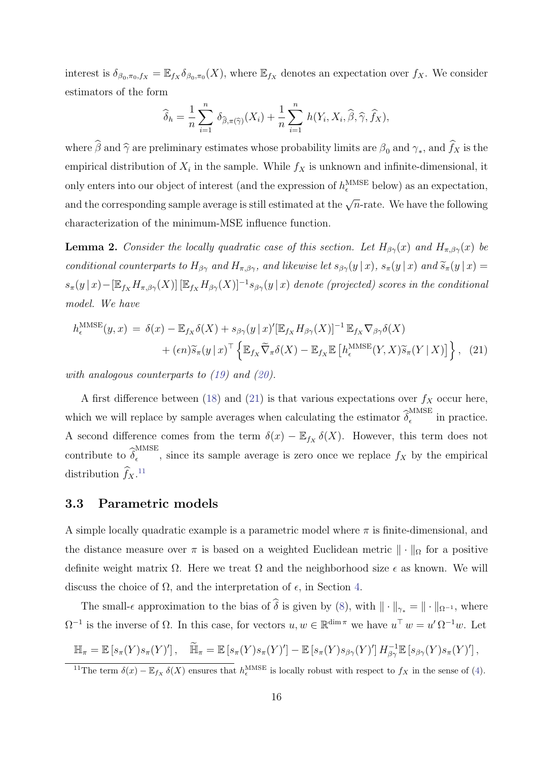interest is  $\delta_{\beta_0,\pi_0,f_X} = \mathbb{E}_{f_X} \delta_{\beta_0,\pi_0}(X)$ , where  $\mathbb{E}_{f_X}$  denotes an expectation over  $f_X$ . We consider estimators of the form

<span id="page-16-1"></span>
$$
\widehat{\delta}_h = \frac{1}{n} \sum_{i=1}^n \delta_{\widehat{\beta}, \pi(\widehat{\gamma})}(X_i) + \frac{1}{n} \sum_{i=1}^n h(Y_i, X_i, \widehat{\beta}, \widehat{\gamma}, \widehat{f}_X),
$$

where  $\beta$  and  $\widehat{\gamma}$  are preliminary estimates whose probability limits are  $\beta_0$  and  $\gamma_*$ , and  $f_X$  is the empirical distribution of  $X_i$  in the sample. While  $f_X$  is unknown and infinite-dimensional, it only enters into our object of interest (and the expression of  $h_{\epsilon}^{\text{MMSE}}$  below) as an expectation, and the corresponding sample average is still estimated at the  $\sqrt{n}$ -rate. We have the following characterization of the minimum-MSE influence function.

<span id="page-16-3"></span>**Lemma 2.** Consider the locally quadratic case of this section. Let  $H_{\beta\gamma}(x)$  and  $H_{\pi,\beta\gamma}(x)$  be conditional counterparts to  $H_{\beta\gamma}$  and  $H_{\pi,\beta\gamma}$ , and likewise let  $s_{\beta\gamma}(y|x)$ ,  $s_{\pi}(y|x)$  and  $\widetilde{s}_{\pi}(y|x)$  $s_{\pi}(y|x) - [\mathbb{E}_{f_X} H_{\pi,\beta\gamma}(X)] [\mathbb{E}_{f_X} H_{\beta\gamma}(X)]^{-1} s_{\beta\gamma}(y|x)$  denote (projected) scores in the conditional model. We have

$$
h_{\epsilon}^{\text{MMSE}}(y,x) = \delta(x) - \mathbb{E}_{f_X} \delta(X) + s_{\beta \gamma}(y \mid x)' [\mathbb{E}_{f_X} H_{\beta \gamma}(X)]^{-1} \mathbb{E}_{f_X} \nabla_{\beta \gamma} \delta(X) + (\epsilon n) \widetilde{s}_{\pi}(y \mid x)^{\top} \left\{ \mathbb{E}_{f_X} \widetilde{\nabla}_{\pi} \delta(X) - \mathbb{E}_{f_X} \mathbb{E} \left[ h_{\epsilon}^{\text{MMSE}}(Y, X) \widetilde{s}_{\pi}(Y \mid X) \right] \right\}, (21)
$$

with analogous counterparts to  $(19)$  and  $(20)$ .

A first difference between [\(18\)](#page-15-4) and [\(21\)](#page-16-1) is that various expectations over  $f_X$  occur here, which we will replace by sample averages when calculating the estimator  $\widehat{\delta}_\epsilon^{\mathrm{MMSE}}$  $\frac{1}{\epsilon}$  in practice. A second difference comes from the term  $\delta(x) - \mathbb{E}_{f_X} \delta(X)$ . However, this term does not contribute to  $\widehat{\delta}_{\epsilon}^{\text{MMSE}}$  $\epsilon$ , since its sample average is zero once we replace  $f_X$  by the empirical distribution  $\hat{f}_X$ .<sup>[11](#page-16-2)</sup>

### <span id="page-16-0"></span>3.3 Parametric models

A simple locally quadratic example is a parametric model where  $\pi$  is finite-dimensional, and the distance measure over  $\pi$  is based on a weighted Euclidean metric  $\|\cdot\|_{\Omega}$  for a positive definite weight matrix  $\Omega$ . Here we treat  $\Omega$  and the neighborhood size  $\epsilon$  as known. We will discuss the choice of  $\Omega$ , and the interpretation of  $\epsilon$ , in Section [4.](#page-23-0)

The small- $\epsilon$  approximation to the bias of  $\widehat{\delta}$  is given by [\(8\)](#page-10-0), with  $\|\cdot\|_{\gamma_*} = \|\cdot\|_{\Omega^{-1}}$ , where  $\Omega^{-1}$  is the inverse of  $\Omega$ . In this case, for vectors  $u, w \in \mathbb{R}^{\dim \pi}$  we have  $u^{\top} w = u' \Omega^{-1} w$ . Let

$$
\mathbb{H}_{\pi} = \mathbb{E}\left[s_{\pi}(Y)s_{\pi}(Y)'\right], \quad \widetilde{\mathbb{H}}_{\pi} = \mathbb{E}\left[s_{\pi}(Y)s_{\pi}(Y)'\right] - \mathbb{E}\left[s_{\pi}(Y)s_{\beta\gamma}(Y)'\right]H_{\beta\gamma}^{-1}\mathbb{E}\left[s_{\beta\gamma}(Y)s_{\pi}(Y)'\right],
$$

<span id="page-16-2"></span><sup>&</sup>lt;sup>11</sup>The term  $\delta(x) - \mathbb{E}_{f_X} \delta(X)$  ensures that  $h_{\epsilon}^{\text{MMSE}}$  is locally robust with respect to  $f_X$  in the sense of [\(4\)](#page-7-3).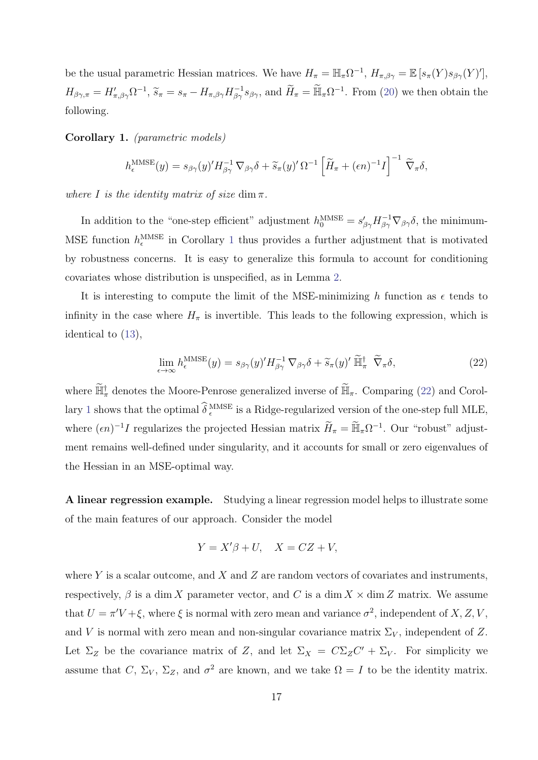be the usual parametric Hessian matrices. We have  $H_{\pi} = \mathbb{H}_{\pi} \Omega^{-1}$ ,  $H_{\pi,\beta\gamma} = \mathbb{E} [s_{\pi}(Y) s_{\beta\gamma}(Y)']$ ,  $H_{\beta\gamma,\pi} = H'_{\pi,\beta\gamma} \Omega^{-1}, \tilde{s}_{\pi} = s_{\pi} - H_{\pi,\beta\gamma} H_{\beta\gamma}^{-1} s_{\beta\gamma}$ , and  $\tilde{H}_{\pi} = \tilde{\mathbb{H}}_{\pi} \Omega^{-1}$ . From [\(20\)](#page-15-3) we then obtain the following.

<span id="page-17-0"></span>Corollary 1. (parametric models)

$$
h_{\epsilon}^{\text{MMSE}}(y) = s_{\beta\gamma}(y)' H_{\beta\gamma}^{-1} \nabla_{\beta\gamma} \delta + \widetilde{s}_{\pi}(y)' \Omega^{-1} \left[ \widetilde{H}_{\pi} + (\epsilon n)^{-1} I \right]^{-1} \widetilde{\nabla}_{\pi} \delta,
$$

where I is the identity matrix of size dim  $\pi$ .

In addition to the "one-step efficient" adjustment  $h_0^{\text{MMSE}} = s'_{\beta\gamma} H_{\beta\gamma}^{-1} \nabla_{\beta\gamma} \delta$ , the minimum-MSE function  $h_{\epsilon}^{\text{MMSE}}$  in Corollary [1](#page-17-0) thus provides a further adjustment that is motivated by robustness concerns. It is easy to generalize this formula to account for conditioning covariates whose distribution is unspecified, as in Lemma [2.](#page-16-3)

It is interesting to compute the limit of the MSE-minimizing h function as  $\epsilon$  tends to infinity in the case where  $H_{\pi}$  is invertible. This leads to the following expression, which is identical to [\(13\)](#page-11-1),

<span id="page-17-1"></span>
$$
\lim_{\epsilon \to \infty} h_{\epsilon}^{\text{MMSE}}(y) = s_{\beta \gamma}(y)' H_{\beta \gamma}^{-1} \nabla_{\beta \gamma} \delta + \widetilde{s}_{\pi}(y)' \widetilde{\mathbb{H}}_{\pi}^{\dagger} \widetilde{\nabla}_{\pi} \delta, \tag{22}
$$

where  $\tilde{\mathbb{H}}_{\pi}^{\dagger}$  denotes the Moore-Penrose generalized inverse of  $\tilde{\mathbb{H}}_{\pi}$ . Comparing [\(22\)](#page-17-1) and Corol-lary [1](#page-17-0) shows that the optimal  $\hat{\delta}_{\epsilon}^{\text{MMSE}}$  is a Ridge-regularized version of the one-step full MLE, where  $(\epsilon n)^{-1}I$  regularizes the projected Hessian matrix  $\widetilde{H}_{\pi} = \widetilde{\mathbb{H}}_{\pi}\Omega^{-1}$ . Our "robust" adjustment remains well-defined under singularity, and it accounts for small or zero eigenvalues of the Hessian in an MSE-optimal way.

A linear regression example. Studying a linear regression model helps to illustrate some of the main features of our approach. Consider the model

$$
Y = X'\beta + U, \quad X = CZ + V,
$$

where Y is a scalar outcome, and X and Z are random vectors of covariates and instruments, respectively,  $\beta$  is a dim X parameter vector, and C is a dim  $X \times$  dim Z matrix. We assume that  $U = \pi'V + \xi$ , where  $\xi$  is normal with zero mean and variance  $\sigma^2$ , independent of X, Z, V, and V is normal with zero mean and non-singular covariance matrix  $\Sigma_V$ , independent of Z. Let  $\Sigma_Z$  be the covariance matrix of Z, and let  $\Sigma_X = C \Sigma_Z C' + \Sigma_V$ . For simplicity we assume that C,  $\Sigma_V$ ,  $\Sigma_Z$ , and  $\sigma^2$  are known, and we take  $\Omega = I$  to be the identity matrix.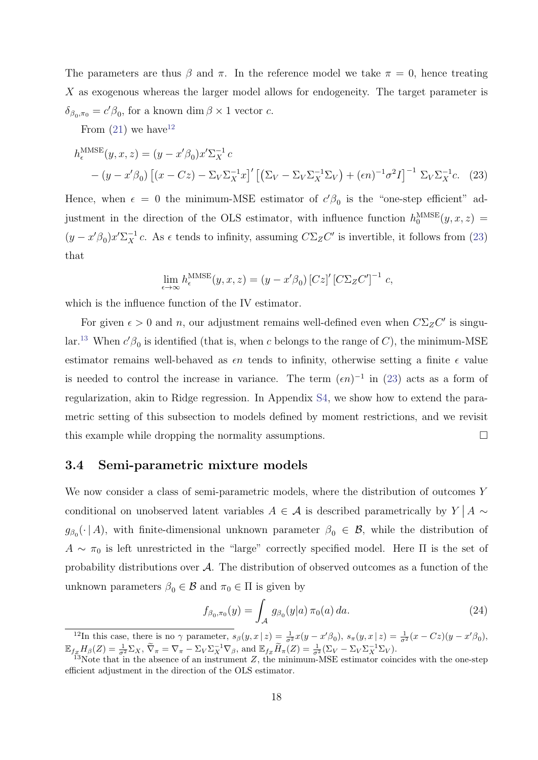The parameters are thus  $\beta$  and  $\pi$ . In the reference model we take  $\pi = 0$ , hence treating X as exogenous whereas the larger model allows for endogeneity. The target parameter is  $\delta_{\beta_0,\pi_0} = c'\beta_0$ , for a known dim  $\beta \times 1$  vector c.

From  $(21)$  we have<sup>[12](#page-18-1)</sup>

$$
h_{\epsilon}^{\text{MMSE}}(y, x, z) = (y - x'\beta_0)x'\Sigma_X^{-1} c
$$
  
 
$$
- (y - x'\beta_0) \left[ (x - Cz) - \Sigma_V \Sigma_X^{-1} x \right]' \left[ \left( \Sigma_V - \Sigma_V \Sigma_X^{-1} \Sigma_V \right) + (\epsilon n)^{-1} \sigma^2 I \right]^{-1} \Sigma_V \Sigma_X^{-1} c. \tag{23}
$$

Hence, when  $\epsilon = 0$  the minimum-MSE estimator of  $c'\beta_0$  is the "one-step efficient" adjustment in the direction of the OLS estimator, with influence function  $h_0^{\text{MMSE}}(y, x, z) =$  $(y - x'\beta_0)x'\Sigma_X^{-1}c$ . As  $\epsilon$  tends to infinity, assuming  $C\Sigma_Z C'$  is invertible, it follows from [\(23\)](#page-18-2) that

<span id="page-18-2"></span>
$$
\lim_{\epsilon \to \infty} h_{\epsilon}^{\text{MMSE}}(y, x, z) = (y - x'\beta_0) [Cz]' [C\Sigma_Z C']^{-1} c,
$$

which is the influence function of the IV estimator.

For given  $\epsilon > 0$  and n, our adjustment remains well-defined even when  $C\Sigma$ <sub>Z</sub>C' is singu-lar.<sup>[13](#page-18-3)</sup> When  $c'\beta_0$  is identified (that is, when c belongs to the range of C), the minimum-MSE estimator remains well-behaved as  $\epsilon n$  tends to infinity, otherwise setting a finite  $\epsilon$  value is needed to control the increase in variance. The term  $(\epsilon n)^{-1}$  in [\(23\)](#page-18-2) acts as a form of regularization, akin to Ridge regression. In Appendix [S4,](#page--1-5) we show how to extend the parametric setting of this subsection to models defined by moment restrictions, and we revisit this example while dropping the normality assumptions.  $\square$ 

#### <span id="page-18-0"></span>3.4 Semi-parametric mixture models

We now consider a class of semi-parametric models, where the distribution of outcomes Y conditional on unobserved latent variables  $A \in \mathcal{A}$  is described parametrically by  $Y \mid A \sim$  $g_{\beta_0}(\cdot | A)$ , with finite-dimensional unknown parameter  $\beta_0 \in \mathcal{B}$ , while the distribution of  $A \sim \pi_0$  is left unrestricted in the "large" correctly specified model. Here  $\Pi$  is the set of probability distributions over  $A$ . The distribution of observed outcomes as a function of the unknown parameters  $\beta_0 \in \mathcal{B}$  and  $\pi_0 \in \Pi$  is given by

<span id="page-18-4"></span>
$$
f_{\beta_0, \pi_0}(y) = \int_{\mathcal{A}} g_{\beta_0}(y|a) \, \pi_0(a) \, da. \tag{24}
$$

<span id="page-18-1"></span><sup>&</sup>lt;sup>12</sup>In this case, there is no  $\gamma$  parameter,  $s_{\beta}(y,x|z) = \frac{1}{\sigma^2}x(y-x'\beta_0), s_{\pi}(y,x|z) = \frac{1}{\sigma^2}(x-Cz)(y-x'\beta_0),$  $\mathbb{E}_{f_Z} H_{\beta}(Z) = \frac{1}{\sigma^2} \Sigma_X, \ \nabla_{\pi} = \nabla_{\pi} - \Sigma_V \Sigma_X^{-1} \nabla_{\beta}, \text{ and } \mathbb{E}_{f_Z} \widetilde{H}_{\pi}(Z) = \frac{1}{\sigma^2} (\Sigma_V - \Sigma_V \Sigma_X^{-1} \Sigma_V).$ 

<span id="page-18-3"></span> $13$ Note that in the absence of an instrument Z, the minimum-MSE estimator coincides with the one-step efficient adjustment in the direction of the OLS estimator.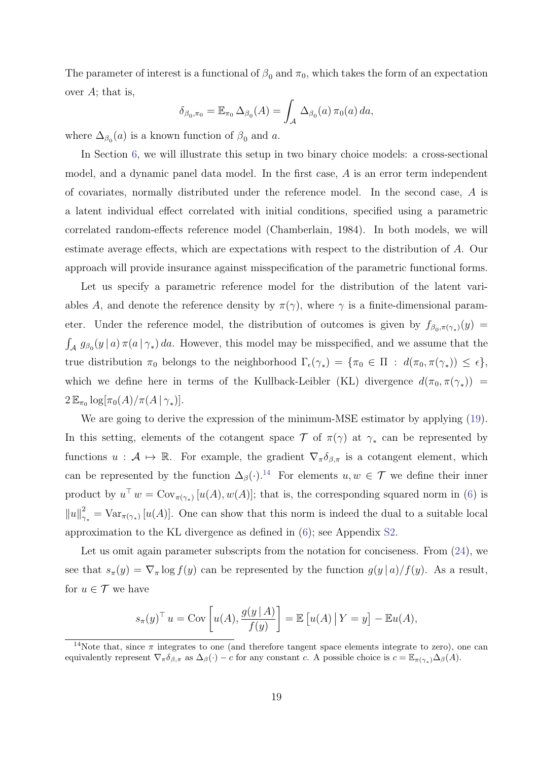The parameter of interest is a functional of  $\beta_0$  and  $\pi_0$ , which takes the form of an expectation over  $A$ ; that is,

$$
\delta_{\beta_0,\pi_0} = \mathbb{E}_{\pi_0} \,\Delta_{\beta_0}(A) = \int_{\mathcal{A}} \Delta_{\beta_0}(a) \,\pi_0(a) \,da,
$$

where  $\Delta_{\beta_0}(a)$  is a known function of  $\beta_0$  and a.

In Section [6,](#page-32-0) we will illustrate this setup in two binary choice models: a cross-sectional model, and a dynamic panel data model. In the first case, A is an error term independent of covariates, normally distributed under the reference model. In the second case, A is a latent individual effect correlated with initial conditions, specified using a parametric correlated random-effects reference model (Chamberlain, 1984). In both models, we will estimate average effects, which are expectations with respect to the distribution of A. Our approach will provide insurance against misspecification of the parametric functional forms.

Let us specify a parametric reference model for the distribution of the latent variables A, and denote the reference density by  $\pi(\gamma)$ , where  $\gamma$  is a finite-dimensional parameter. Under the reference model, the distribution of outcomes is given by  $f_{\beta_0, \pi(\gamma_*)}(y) =$  $\int_{\mathcal{A}} g_{\beta_0}(y | a) \pi(a | \gamma_*) da$ . However, this model may be misspecified, and we assume that the true distribution  $\pi_0$  belongs to the neighborhood  $\Gamma_{\epsilon}(\gamma_*) = {\pi_0 \in \Pi : d(\pi_0, \pi(\gamma_*) \leq \epsilon},$ which we define here in terms of the Kullback-Leibler (KL) divergence  $d(\pi_0, \pi(\gamma_*))$  =  $2\mathbb{E}_{\pi_0} \log[\pi_0(A)/\pi(A|\gamma_*)].$ 

We are going to derive the expression of the minimum-MSE estimator by applying [\(19\)](#page-15-2). In this setting, elements of the cotangent space  $\mathcal T$  of  $\pi(\gamma)$  at  $\gamma_*$  can be represented by functions  $u : A \mapsto \mathbb{R}$ . For example, the gradient  $\nabla_{\pi} \delta_{\beta,\pi}$  is a cotangent element, which can be represented by the function  $\Delta_{\beta}(\cdot).^{14}$  $\Delta_{\beta}(\cdot).^{14}$  $\Delta_{\beta}(\cdot).^{14}$  For elements  $u, w \in \mathcal{T}$  we define their inner product by  $u^{\top} w = \text{Cov}_{\pi(\gamma_*)} [u(A), w(A)]$ ; that is, the corresponding squared norm in [\(6\)](#page-9-1) is  $||u||^2$  $\gamma_*^2 = \text{Var}_{\pi(\gamma_*)}[u(A)]$ . One can show that this norm is indeed the dual to a suitable local approximation to the KL divergence as defined in [\(6\)](#page-9-1); see Appendix [S2.](#page--1-6)

Let us omit again parameter subscripts from the notation for conciseness. From  $(24)$ , we see that  $s_{\pi}(y) = \nabla_{\pi} \log f(y)$  can be represented by the function  $g(y | a) / f(y)$ . As a result, for  $u \in \mathcal{T}$  we have

$$
s_{\pi}(y)^{\top} u = \text{Cov}\left[u(A), \frac{g(y \mid A)}{f(y)}\right] = \mathbb{E}\left[u(A) \mid Y = y\right] - \mathbb{E}u(A),
$$

<span id="page-19-0"></span><sup>&</sup>lt;sup>14</sup>Note that, since  $\pi$  integrates to one (and therefore tangent space elements integrate to zero), one can equivalently represent  $\nabla_{\pi} \delta_{\beta,\pi}$  as  $\Delta_{\beta}(\cdot) - c$  for any constant c. A possible choice is  $c = \mathbb{E}_{\pi(\gamma_*)} \Delta_{\beta}(A)$ .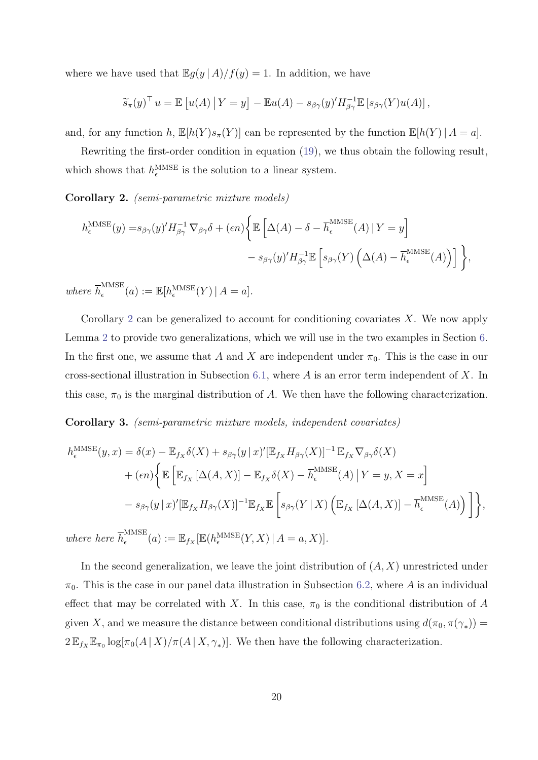where we have used that  $\mathbb{E}g(y \mid A)/f(y) = 1$ . In addition, we have

$$
\widetilde{s}_{\pi}(y)^{\top} u = \mathbb{E}\left[u(A) \, \big| \, Y = y\right] - \mathbb{E}u(A) - s_{\beta\gamma}(y)' H_{\beta\gamma}^{-1} \mathbb{E}\left[s_{\beta\gamma}(Y)u(A)\right],
$$

and, for any function h,  $\mathbb{E}[h(Y)s_{\pi}(Y)]$  can be represented by the function  $\mathbb{E}[h(Y) | A = a]$ .

Rewriting the first-order condition in equation [\(19\)](#page-15-2), we thus obtain the following result, which shows that  $h_{\epsilon}^{\text{MMSE}}$  is the solution to a linear system.

<span id="page-20-0"></span>Corollary 2. (semi-parametric mixture models)

$$
h_{\epsilon}^{\text{MMSE}}(y) = s_{\beta\gamma}(y)' H_{\beta\gamma}^{-1} \nabla_{\beta\gamma} \delta + (\epsilon n) \left\{ \mathbb{E} \left[ \Delta(A) - \delta - \overline{h}_{\epsilon}^{\text{MMSE}}(A) \, | \, Y = y \right] \right. \\ \left. - s_{\beta\gamma}(y)' H_{\beta\gamma}^{-1} \mathbb{E} \left[ s_{\beta\gamma}(Y) \left( \Delta(A) - \overline{h}_{\epsilon}^{\text{MMSE}}(A) \right) \right] \right\},
$$

where  $\overline{h}_{\epsilon}^{\text{MMSE}}$  $\mathcal{C}_{\epsilon}^{\text{MMSE}}(a) := \mathbb{E}[h^{\text{MMSE}}_{\epsilon}(Y) | A = a].$ 

Corollary [2](#page-20-0) can be generalized to account for conditioning covariates X. We now apply Lemma [2](#page-16-3) to provide two generalizations, which we will use in the two examples in Section [6.](#page-32-0) In the first one, we assume that A and X are independent under  $\pi_0$ . This is the case in our cross-sectional illustration in Subsection [6.1,](#page-32-1) where  $A$  is an error term independent of  $X$ . In this case,  $\pi_0$  is the marginal distribution of A. We then have the following characterization.

<span id="page-20-1"></span>Corollary 3. (semi-parametric mixture models, independent covariates)

$$
h_{\epsilon}^{\text{MMSE}}(y,x) = \delta(x) - \mathbb{E}_{f_X} \delta(X) + s_{\beta \gamma}(y \mid x)' [\mathbb{E}_{f_X} H_{\beta \gamma}(X)]^{-1} \mathbb{E}_{f_X} \nabla_{\beta \gamma} \delta(X)
$$
  
+ 
$$
(\epsilon n) \Big\{ \mathbb{E} \Big[ \mathbb{E}_{f_X} [\Delta(A, X)] - \mathbb{E}_{f_X} \delta(X) - \overline{h}_{\epsilon}^{\text{MMSE}}(A) \mid Y = y, X = x \Big]
$$
  
- 
$$
s_{\beta \gamma}(y \mid x)' [\mathbb{E}_{f_X} H_{\beta \gamma}(X)]^{-1} \mathbb{E}_{f_X} \mathbb{E} \Big[ s_{\beta \gamma}(Y \mid X) \left( \mathbb{E}_{f_X} [\Delta(A, X)] - \overline{h}_{\epsilon}^{\text{MMSE}}(A) \right) \Big] \Big\},
$$

where here  $\overline{h}_{\epsilon}^{\text{MMSE}}$  $\mathbb{E}_{\epsilon}^{\text{MMSE}}(a) := \mathbb{E}_{f_{X}}[\mathbb{E}(h_{\epsilon}^{\text{MMSE}}(Y,X) | A=a, X)].$ 

In the second generalization, we leave the joint distribution of  $(A, X)$  unrestricted under  $\pi_0$ . This is the case in our panel data illustration in Subsection [6.2,](#page-37-0) where A is an individual effect that may be correlated with X. In this case,  $\pi_0$  is the conditional distribution of A given X, and we measure the distance between conditional distributions using  $d(\pi_0, \pi(\gamma_*))$  =  $2\mathbb{E}_{f_X}\mathbb{E}_{\pi_0}\log[\pi_0(A|X)/\pi(A|X,\gamma_*)]$ . We then have the following characterization.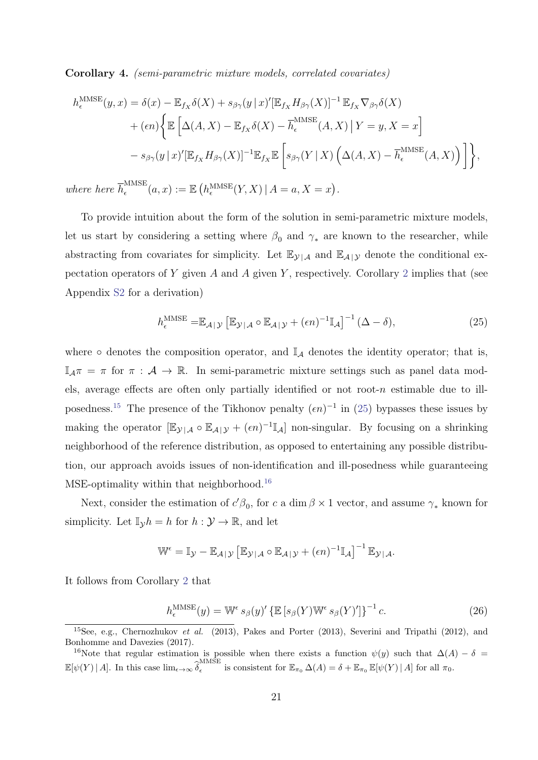<span id="page-21-4"></span>Corollary 4. (semi-parametric mixture models, correlated covariates)

$$
h_{\epsilon}^{\text{MMSE}}(y,x) = \delta(x) - \mathbb{E}_{f_X}\delta(X) + s_{\beta\gamma}(y|x)'[\mathbb{E}_{f_X}H_{\beta\gamma}(X)]^{-1}\mathbb{E}_{f_X}\nabla_{\beta\gamma}\delta(X)
$$

$$
+ (\epsilon n) \Big\{ \mathbb{E} \Big[ \Delta(A,X) - \mathbb{E}_{f_X}\delta(X) - \overline{h}_{\epsilon}^{\text{MMSE}}(A,X) \, \big| \, Y = y, X = x \Big]
$$

$$
- s_{\beta\gamma}(y|x)'[\mathbb{E}_{f_X}H_{\beta\gamma}(X)]^{-1}\mathbb{E}_{f_X}\mathbb{E} \Big[ s_{\beta\gamma}(Y \,|\, X) \, \Big( \Delta(A,X) - \overline{h}_{\epsilon}^{\text{MMSE}}(A,X) \Big) \Big] \Big\},
$$

where here  $\overline{h}_{\epsilon}^{\text{MMSE}}$  $\mathcal{L}_{\epsilon}^{\text{MMSE}}(a,x) := \mathbb{E}\left(h_{\epsilon}^{\text{MMSE}}(Y,X)\,|\, A=a, X=x\right).$ 

To provide intuition about the form of the solution in semi-parametric mixture models, let us start by considering a setting where  $\beta_0$  and  $\gamma_*$  are known to the researcher, while abstracting from covariates for simplicity. Let  $\mathbb{E}_{\mathcal{Y}|\mathcal{A}}$  and  $\mathbb{E}_{\mathcal{A}|\mathcal{Y}}$  denote the conditional ex-pectation operators of Y given A and A given Y, respectively. Corollary [2](#page-20-0) implies that (see Appendix [S2](#page--1-6) for a derivation)

<span id="page-21-1"></span>
$$
h_{\epsilon}^{\text{MMSE}} = \mathbb{E}_{\mathcal{A}|\mathcal{Y}} \left[ \mathbb{E}_{\mathcal{Y}|\mathcal{A}} \circ \mathbb{E}_{\mathcal{A}|\mathcal{Y}} + (\epsilon n)^{-1} \mathbb{I}_{\mathcal{A}} \right]^{-1} (\Delta - \delta), \tag{25}
$$

where  $\circ$  denotes the composition operator, and  $\mathbb{I}_{\mathcal{A}}$  denotes the identity operator; that is,  $\mathbb{I}_{\mathcal{A}}\pi = \pi$  for  $\pi : \mathcal{A} \to \mathbb{R}$ . In semi-parametric mixture settings such as panel data models, average effects are often only partially identified or not root- $n$  estimable due to ill-posedness.<sup>[15](#page-21-0)</sup> The presence of the Tikhonov penalty  $(\epsilon n)^{-1}$  in [\(25\)](#page-21-1) bypasses these issues by making the operator  $[\mathbb{E}_{\mathcal{Y}|\mathcal{A}} \circ \mathbb{E}_{\mathcal{A}|\mathcal{Y}} + (\epsilon n)^{-1} \mathbb{I}_{\mathcal{A}}]$  non-singular. By focusing on a shrinking neighborhood of the reference distribution, as opposed to entertaining any possible distribution, our approach avoids issues of non-identification and ill-posedness while guaranteeing  $MSE$ -optimality within that neighborhood.<sup>[16](#page-21-2)</sup>

Next, consider the estimation of  $c'\beta_0$ , for c a dim  $\beta \times 1$  vector, and assume  $\gamma_*$  known for simplicity. Let  $\mathbb{I}_{\mathcal{Y}} h = h$  for  $h : \mathcal{Y} \to \mathbb{R}$ , and let

$$
\mathbb{W}^{\epsilon} = \mathbb{I}_{\mathcal{Y}} - \mathbb{E}_{\mathcal{A}|\mathcal{Y}} \left[ \mathbb{E}_{\mathcal{Y}|\mathcal{A}} \circ \mathbb{E}_{\mathcal{A}|\mathcal{Y}} + (\epsilon n)^{-1} \mathbb{I}_{\mathcal{A}} \right]^{-1} \mathbb{E}_{\mathcal{Y}|\mathcal{A}}.
$$

It follows from Corollary [2](#page-20-0) that

<span id="page-21-3"></span>
$$
h_{\epsilon}^{\text{MMSE}}(y) = \mathbb{W}^{\epsilon} s_{\beta}(y)' \left\{ \mathbb{E} \left[ s_{\beta}(Y) \mathbb{W}^{\epsilon} s_{\beta}(Y)' \right] \right\}^{-1} c. \tag{26}
$$

<span id="page-21-0"></span><sup>&</sup>lt;sup>15</sup>See, e.g., Chernozhukov et al. (2013), Pakes and Porter (2013), Severini and Tripathi (2012), and Bonhomme and Davezies (2017).

<span id="page-21-2"></span><sup>&</sup>lt;sup>16</sup>Note that regular estimation is possible when there exists a function  $\psi(y)$  such that  $\Delta(A) - \delta =$  $\mathbb{E}[\psi(Y) | A]$ . In this case  $\lim_{\epsilon \to \infty} \widehat{\delta}_{\epsilon}^{\text{MMSE}}$ <sup>MMSE</sup> is consistent for  $\mathbb{E}_{\pi_0} \Delta(A) = \delta + \mathbb{E}_{\pi_0} \mathbb{E}[\psi(Y) | A]$  for all  $\pi_0$ .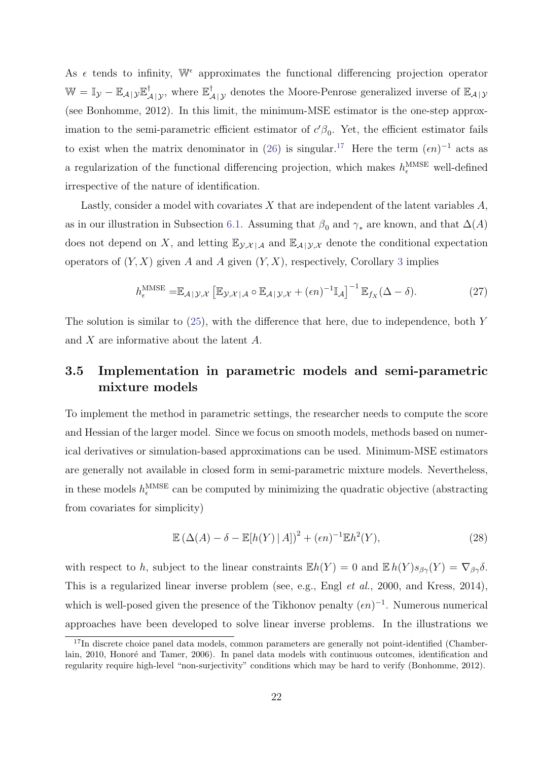As  $\epsilon$  tends to infinity,  $\mathbb{W}^{\epsilon}$  approximates the functional differencing projection operator  $\mathbb{W} = \mathbb{I}_{\mathcal{Y}} - \mathbb{E}_{\mathcal{A}|\mathcal{Y}} \mathbb{E}_{\mathcal{A}|\mathcal{Y}}^{\dagger}$ , where  $\mathbb{E}_{\mathcal{A}|\mathcal{Y}}^{\dagger}$  denotes the Moore-Penrose generalized inverse of  $\mathbb{E}_{\mathcal{A}|\mathcal{Y}}$ (see Bonhomme, 2012). In this limit, the minimum-MSE estimator is the one-step approximation to the semi-parametric efficient estimator of  $c'\beta_0$ . Yet, the efficient estimator fails to exist when the matrix denominator in [\(26\)](#page-21-3) is singular.<sup>[17](#page-22-0)</sup> Here the term  $(\epsilon n)^{-1}$  acts as a regularization of the functional differencing projection, which makes  $h_{\epsilon}^{\text{MMSE}}$  well-defined irrespective of the nature of identification.

Lastly, consider a model with covariates  $X$  that are independent of the latent variables  $A$ , as in our illustration in Subsection [6.1.](#page-32-1) Assuming that  $\beta_0$  and  $\gamma_*$  are known, and that  $\Delta(A)$ does not depend on X, and letting  $\mathbb{E}_{y,x}$  and  $\mathbb{E}_{\mathcal{A}|y,x}$  denote the conditional expectation operators of  $(Y, X)$  given A and A given  $(Y, X)$ , respectively, Corollary [3](#page-20-1) implies

$$
h_{\epsilon}^{\text{MMSE}} = \mathbb{E}_{\mathcal{A}|\mathcal{Y},\mathcal{X}} \left[ \mathbb{E}_{\mathcal{Y},\mathcal{X}|\mathcal{A}} \circ \mathbb{E}_{\mathcal{A}|\mathcal{Y},\mathcal{X}} + (\epsilon n)^{-1} \mathbb{I}_{\mathcal{A}} \right]^{-1} \mathbb{E}_{f_{X}} (\Delta - \delta).
$$
 (27)

The solution is similar to  $(25)$ , with the difference that here, due to independence, both Y and X are informative about the latent A.

### 3.5 Implementation in parametric models and semi-parametric mixture models

To implement the method in parametric settings, the researcher needs to compute the score and Hessian of the larger model. Since we focus on smooth models, methods based on numerical derivatives or simulation-based approximations can be used. Minimum-MSE estimators are generally not available in closed form in semi-parametric mixture models. Nevertheless, in these models  $h_{\epsilon}^{\text{MMSE}}$  can be computed by minimizing the quadratic objective (abstracting from covariates for simplicity)

$$
\mathbb{E}\left(\Delta(A) - \delta - \mathbb{E}[h(Y) | A]\right)^2 + (\epsilon n)^{-1} \mathbb{E}h^2(Y),\tag{28}
$$

with respect to h, subject to the linear constraints  $\mathbb{E}h(Y) = 0$  and  $\mathbb{E}h(Y)s_{\beta\gamma}(Y) = \nabla_{\beta\gamma}\delta$ . This is a regularized linear inverse problem (see, e.g., Engl *et al.*, 2000, and Kress, 2014), which is well-posed given the presence of the Tikhonov penalty  $(\epsilon n)^{-1}$ . Numerous numerical approaches have been developed to solve linear inverse problems. In the illustrations we

<span id="page-22-0"></span><sup>&</sup>lt;sup>17</sup>In discrete choice panel data models, common parameters are generally not point-identified (Chamberlain, 2010, Honoré and Tamer, 2006). In panel data models with continuous outcomes, identification and regularity require high-level "non-surjectivity" conditions which may be hard to verify (Bonhomme, 2012).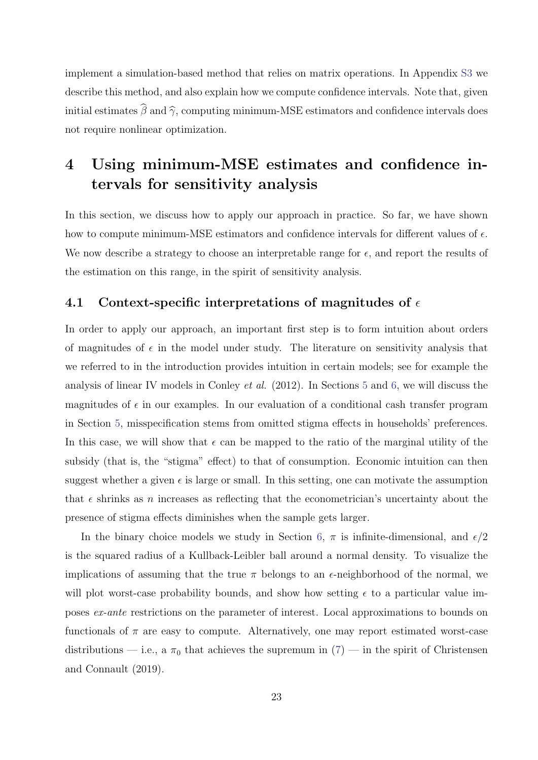implement a simulation-based method that relies on matrix operations. In Appendix [S3](#page--1-7) we describe this method, and also explain how we compute confidence intervals. Note that, given initial estimates  $\widehat{\beta}$  and  $\widehat{\gamma}$ , computing minimum-MSE estimators and confidence intervals does not require nonlinear optimization.

## <span id="page-23-0"></span>4 Using minimum-MSE estimates and confidence intervals for sensitivity analysis

In this section, we discuss how to apply our approach in practice. So far, we have shown how to compute minimum-MSE estimators and confidence intervals for different values of  $\epsilon$ . We now describe a strategy to choose an interpretable range for  $\epsilon$ , and report the results of the estimation on this range, in the spirit of sensitivity analysis.

### <span id="page-23-1"></span>4.1 Context-specific interpretations of magnitudes of  $\epsilon$

In order to apply our approach, an important first step is to form intuition about orders of magnitudes of  $\epsilon$  in the model under study. The literature on sensitivity analysis that we referred to in the introduction provides intuition in certain models; see for example the analysis of linear IV models in Conley et al. (2012). In Sections [5](#page-26-0) and [6,](#page-32-0) we will discuss the magnitudes of  $\epsilon$  in our examples. In our evaluation of a conditional cash transfer program in Section [5,](#page-26-0) misspecification stems from omitted stigma effects in households' preferences. In this case, we will show that  $\epsilon$  can be mapped to the ratio of the marginal utility of the subsidy (that is, the "stigma" effect) to that of consumption. Economic intuition can then suggest whether a given  $\epsilon$  is large or small. In this setting, one can motivate the assumption that  $\epsilon$  shrinks as n increases as reflecting that the econometrician's uncertainty about the presence of stigma effects diminishes when the sample gets larger.

In the binary choice models we study in Section [6,](#page-32-0)  $\pi$  is infinite-dimensional, and  $\epsilon/2$ is the squared radius of a Kullback-Leibler ball around a normal density. To visualize the implications of assuming that the true  $\pi$  belongs to an  $\epsilon$ -neighborhood of the normal, we will plot worst-case probability bounds, and show how setting  $\epsilon$  to a particular value imposes ex-ante restrictions on the parameter of interest. Local approximations to bounds on functionals of  $\pi$  are easy to compute. Alternatively, one may report estimated worst-case distributions — i.e., a  $\pi_0$  that achieves the supremum in  $(7)$  — in the spirit of Christensen and Connault (2019).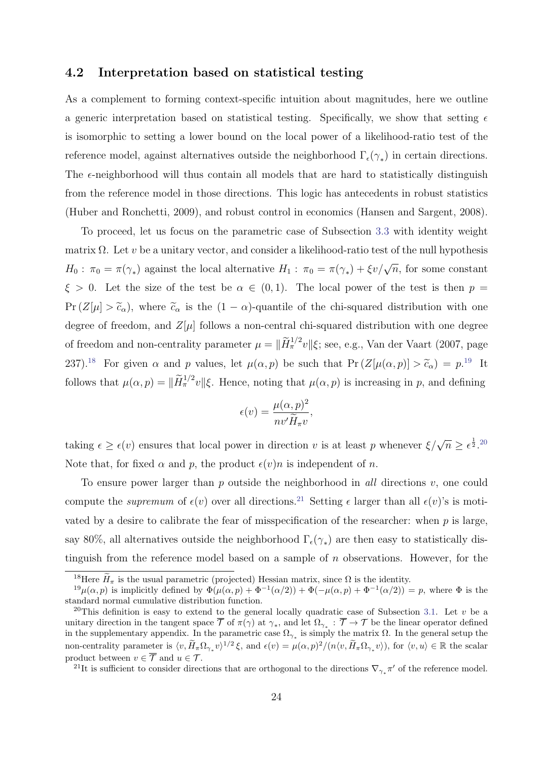### <span id="page-24-4"></span>4.2 Interpretation based on statistical testing

As a complement to forming context-specific intuition about magnitudes, here we outline a generic interpretation based on statistical testing. Specifically, we show that setting  $\epsilon$ is isomorphic to setting a lower bound on the local power of a likelihood-ratio test of the reference model, against alternatives outside the neighborhood  $\Gamma_{\epsilon}(\gamma_{*})$  in certain directions. The  $\epsilon$ -neighborhood will thus contain all models that are hard to statistically distinguish from the reference model in those directions. This logic has antecedents in robust statistics (Huber and Ronchetti, 2009), and robust control in economics (Hansen and Sargent, 2008).

To proceed, let us focus on the parametric case of Subsection [3.3](#page-16-0) with identity weight matrix  $\Omega$ . Let v be a unitary vector, and consider a likelihood-ratio test of the null hypothesis  $H_0: \pi_0 = \pi(\gamma_*)$  against the local alternative  $H_1: \pi_0 = \pi(\gamma_*) + \xi v/\sqrt{n}$ , for some constant  $\xi > 0$ . Let the size of the test be  $\alpha \in (0,1)$ . The local power of the test is then  $p =$  $Pr(Z[\mu] > \tilde{c}_{\alpha})$ , where  $\tilde{c}_{\alpha}$  is the  $(1 - \alpha)$ -quantile of the chi-squared distribution with one degree of freedom, and  $Z[\mu]$  follows a non-central chi-squared distribution with one degree of freedom and non-centrality parameter  $\mu = ||\widetilde{H}^{1/2}_{\pi}v||\xi$ ; see, e.g., Van der Vaart (2007, page 237).<sup>[18](#page-24-0)</sup> For given  $\alpha$  and  $p$  values, let  $\mu(\alpha, p)$  be such that  $Pr(Z[\mu(\alpha, p)] > \tilde{c}_{\alpha}) = p^{19}$  $Pr(Z[\mu(\alpha, p)] > \tilde{c}_{\alpha}) = p^{19}$  $Pr(Z[\mu(\alpha, p)] > \tilde{c}_{\alpha}) = p^{19}$  It follows that  $\mu(\alpha, p) = \|\widetilde{H}^{1/2}_{\pi}v\|\xi$ . Hence, noting that  $\mu(\alpha, p)$  is increasing in p, and defining

$$
\epsilon(v) = \frac{\mu(\alpha, p)^2}{nv'\widetilde{H}_{\pi}v},
$$

taking  $\epsilon \geq \epsilon(v)$  ensures that local power in direction v is at least p whenever  $\xi/\sqrt{n} \geq \epsilon^{\frac{1}{2}}$ .<sup>[20](#page-24-2)</sup> Note that, for fixed  $\alpha$  and p, the product  $\epsilon(v)n$  is independent of n.

To ensure power larger than p outside the neighborhood in all directions  $v$ , one could compute the *supremum* of  $\epsilon(v)$  over all directions.<sup>[21](#page-24-3)</sup> Setting  $\epsilon$  larger than all  $\epsilon(v)$ 's is motivated by a desire to calibrate the fear of misspecification of the researcher: when  $p$  is large, say 80%, all alternatives outside the neighborhood  $\Gamma_{\epsilon}(\gamma_*)$  are then easy to statistically distinguish from the reference model based on a sample of  $n$  observations. However, for the

<span id="page-24-3"></span><sup>21</sup>It is sufficient to consider directions that are orthogonal to the directions  $\nabla_{\gamma_*}\pi'$  of the reference model.

<span id="page-24-1"></span><span id="page-24-0"></span><sup>&</sup>lt;sup>18</sup>Here  $\widetilde{H}_{\pi}$  is the usual parametric (projected) Hessian matrix, since  $\Omega$  is the identity.

 $19\mu(\alpha, p)$  is implicitly defined by  $\Phi(\mu(\alpha, p) + \Phi^{-1}(\alpha/2)) + \Phi(-\mu(\alpha, p) + \Phi^{-1}(\alpha/2)) = p$ , where  $\Phi$  is the standard normal cumulative distribution function.

<span id="page-24-2"></span><sup>&</sup>lt;sup>20</sup>This definition is easy to extend to the general locally quadratic case of Subsection [3.1.](#page-15-5) Let v be a unitary direction in the tangent space  $\overline{\mathcal{T}}$  of  $\pi(\gamma)$  at  $\gamma_*$ , and let  $\Omega_{\gamma_*} : \overline{\mathcal{T}} \to \mathcal{T}$  be the linear operator defined in the supplementary appendix. In the parametric case  $\Omega_{\gamma_*}$  is simply the matrix  $\Omega$ . In the general setup the non-centrality parameter is  $\langle v, \tilde{H}_{\pi} \Omega_{\gamma_*} v \rangle^{1/2} \xi$ , and  $\epsilon(v) = \mu(\alpha, p)^2 / (n \langle v, \tilde{H}_{\pi} \Omega_{\gamma_*} v \rangle)$ , for  $\langle v, u \rangle \in \mathbb{R}$  the scalar product between  $v \in \overline{\mathcal{T}}$  and  $u \in \mathcal{T}$ .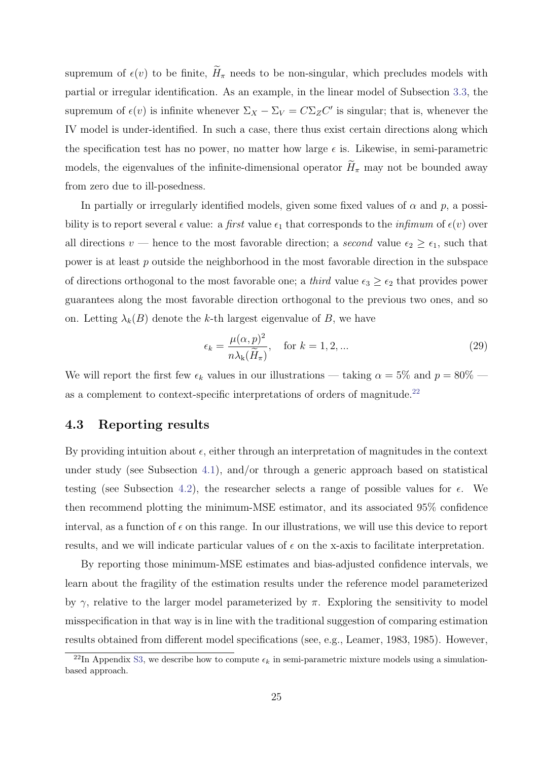supremum of  $\epsilon(v)$  to be finite,  $H_{\pi}$  needs to be non-singular, which precludes models with partial or irregular identification. As an example, in the linear model of Subsection [3.3,](#page-16-0) the supremum of  $\epsilon(v)$  is infinite whenever  $\Sigma_X - \Sigma_V = C \Sigma_Z C'$  is singular; that is, whenever the IV model is under-identified. In such a case, there thus exist certain directions along which the specification test has no power, no matter how large  $\epsilon$  is. Likewise, in semi-parametric models, the eigenvalues of the infinite-dimensional operator  $\widetilde{H}_{\pi}$  may not be bounded away from zero due to ill-posedness.

In partially or irregularly identified models, given some fixed values of  $\alpha$  and  $p$ , a possibility is to report several  $\epsilon$  value: a first value  $\epsilon_1$  that corresponds to the *infimum* of  $\epsilon(v)$  over all directions v — hence to the most favorable direction; a second value  $\epsilon_2 \geq \epsilon_1$ , such that power is at least p outside the neighborhood in the most favorable direction in the subspace of directions orthogonal to the most favorable one; a *third* value  $\epsilon_3 \geq \epsilon_2$  that provides power guarantees along the most favorable direction orthogonal to the previous two ones, and so on. Letting  $\lambda_k(B)$  denote the k-th largest eigenvalue of B, we have

<span id="page-25-1"></span>
$$
\epsilon_k = \frac{\mu(\alpha, p)^2}{n\lambda_k(\widetilde{H}_\pi)}, \quad \text{for } k = 1, 2, \dots
$$
 (29)

We will report the first few  $\epsilon_k$  values in our illustrations — taking  $\alpha = 5\%$  and  $p = 80\%$  — as a complement to context-specific interpretations of orders of magnitude.<sup>[22](#page-25-0)</sup>

### 4.3 Reporting results

By providing intuition about  $\epsilon$ , either through an interpretation of magnitudes in the context under study (see Subsection [4.1\)](#page-23-1), and/or through a generic approach based on statistical testing (see Subsection [4.2\)](#page-24-4), the researcher selects a range of possible values for  $\epsilon$ . We then recommend plotting the minimum-MSE estimator, and its associated 95% confidence interval, as a function of  $\epsilon$  on this range. In our illustrations, we will use this device to report results, and we will indicate particular values of  $\epsilon$  on the x-axis to facilitate interpretation.

By reporting those minimum-MSE estimates and bias-adjusted confidence intervals, we learn about the fragility of the estimation results under the reference model parameterized by  $\gamma$ , relative to the larger model parameterized by  $\pi$ . Exploring the sensitivity to model misspecification in that way is in line with the traditional suggestion of comparing estimation results obtained from different model specifications (see, e.g., Leamer, 1983, 1985). However,

<span id="page-25-0"></span><sup>&</sup>lt;sup>22</sup>In Appendix [S3,](#page--1-7) we describe how to compute  $\epsilon_k$  in semi-parametric mixture models using a simulationbased approach.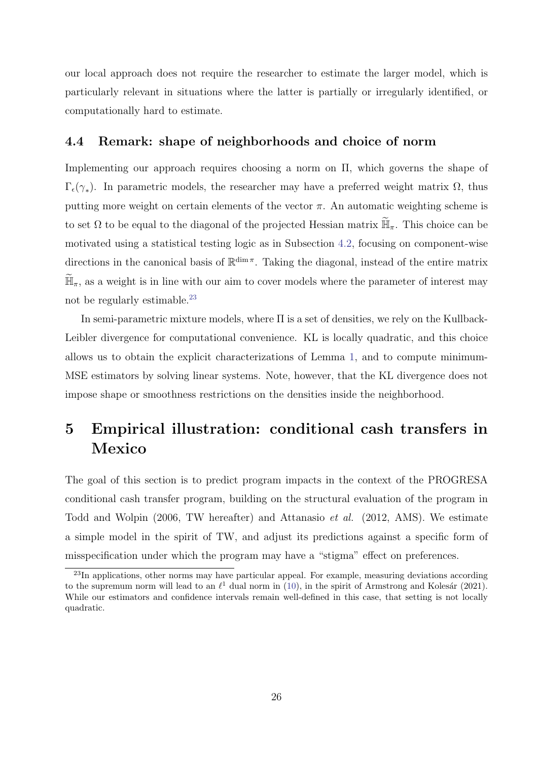our local approach does not require the researcher to estimate the larger model, which is particularly relevant in situations where the latter is partially or irregularly identified, or computationally hard to estimate.

### 4.4 Remark: shape of neighborhoods and choice of norm

Implementing our approach requires choosing a norm on Π, which governs the shape of  $\Gamma_{\epsilon}(\gamma_*)$ . In parametric models, the researcher may have a preferred weight matrix  $\Omega$ , thus putting more weight on certain elements of the vector  $\pi$ . An automatic weighting scheme is to set  $\Omega$  to be equal to the diagonal of the projected Hessian matrix  $\widetilde{\mathbb{H}}_{\pi}$ . This choice can be motivated using a statistical testing logic as in Subsection [4.2,](#page-24-4) focusing on component-wise directions in the canonical basis of  $\mathbb{R}^{\dim \pi}$ . Taking the diagonal, instead of the entire matrix  $\mathbb{H}_{\pi}$ , as a weight is in line with our aim to cover models where the parameter of interest may not be regularly estimable.[23](#page-26-1)

In semi-parametric mixture models, where Π is a set of densities, we rely on the Kullback-Leibler divergence for computational convenience. KL is locally quadratic, and this choice allows us to obtain the explicit characterizations of Lemma [1,](#page-15-6) and to compute minimum-MSE estimators by solving linear systems. Note, however, that the KL divergence does not impose shape or smoothness restrictions on the densities inside the neighborhood.

## <span id="page-26-0"></span>5 Empirical illustration: conditional cash transfers in Mexico

The goal of this section is to predict program impacts in the context of the PROGRESA conditional cash transfer program, building on the structural evaluation of the program in Todd and Wolpin (2006, TW hereafter) and Attanasio et al. (2012, AMS). We estimate a simple model in the spirit of TW, and adjust its predictions against a specific form of misspecification under which the program may have a "stigma" effect on preferences.

<span id="page-26-1"></span><sup>&</sup>lt;sup>23</sup>In applications, other norms may have particular appeal. For example, measuring deviations according to the supremum norm will lead to an  $\ell^1$  dual norm in [\(10\)](#page-10-1), in the spirit of Armstrong and Kolesár (2021). While our estimators and confidence intervals remain well-defined in this case, that setting is not locally quadratic.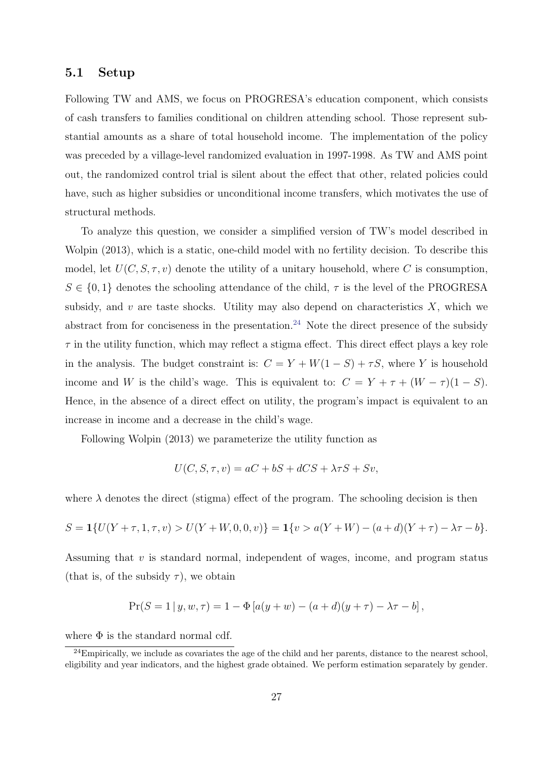#### 5.1 Setup

Following TW and AMS, we focus on PROGRESA's education component, which consists of cash transfers to families conditional on children attending school. Those represent substantial amounts as a share of total household income. The implementation of the policy was preceded by a village-level randomized evaluation in 1997-1998. As TW and AMS point out, the randomized control trial is silent about the effect that other, related policies could have, such as higher subsidies or unconditional income transfers, which motivates the use of structural methods.

To analyze this question, we consider a simplified version of TW's model described in Wolpin (2013), which is a static, one-child model with no fertility decision. To describe this model, let  $U(C, S, \tau, v)$  denote the utility of a unitary household, where C is consumption,  $S \in \{0,1\}$  denotes the schooling attendance of the child,  $\tau$  is the level of the PROGRESA subsidy, and  $v$  are taste shocks. Utility may also depend on characteristics  $X$ , which we abstract from for conciseness in the presentation.<sup>[24](#page-27-0)</sup> Note the direct presence of the subsidy  $\tau$  in the utility function, which may reflect a stigma effect. This direct effect plays a key role in the analysis. The budget constraint is:  $C = Y + W(1 - S) + \tau S$ , where Y is household income and W is the child's wage. This is equivalent to:  $C = Y + \tau + (W - \tau)(1 - S)$ . Hence, in the absence of a direct effect on utility, the program's impact is equivalent to an increase in income and a decrease in the child's wage.

Following Wolpin (2013) we parameterize the utility function as

$$
U(C, S, \tau, v) = aC + bS + dCS + \lambda \tau S + Sv,
$$

where  $\lambda$  denotes the direct (stigma) effect of the program. The schooling decision is then

$$
S = \mathbf{1}\{U(Y + \tau, 1, \tau, v) > U(Y + W, 0, 0, v)\} = \mathbf{1}\{v > a(Y + W) - (a + d)(Y + \tau) - \lambda \tau - b\}.
$$

Assuming that  $v$  is standard normal, independent of wages, income, and program status (that is, of the subsidy  $\tau$ ), we obtain

$$
Pr(S = 1 | y, w, \tau) = 1 - \Phi[a(y + w) - (a + d)(y + \tau) - \lambda \tau - b],
$$

where  $\Phi$  is the standard normal cdf.

<span id="page-27-0"></span> $^{24}$ Empirically, we include as covariates the age of the child and her parents, distance to the nearest school, eligibility and year indicators, and the highest grade obtained. We perform estimation separately by gender.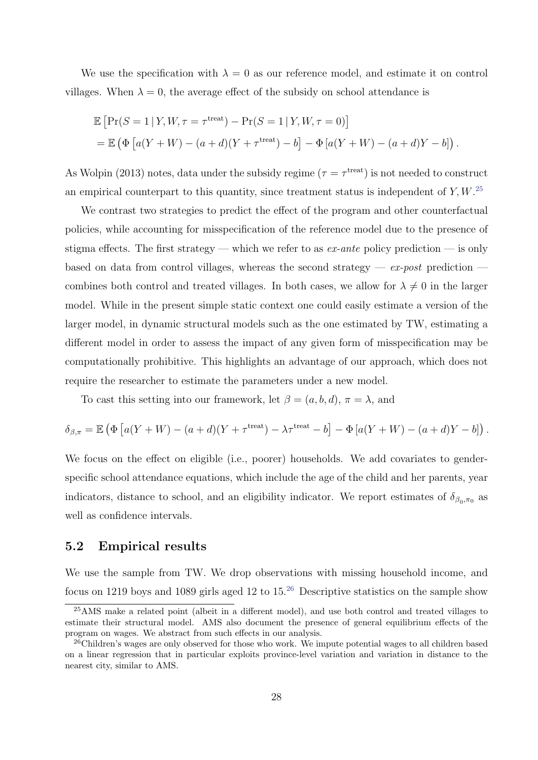We use the specification with  $\lambda = 0$  as our reference model, and estimate it on control villages. When  $\lambda = 0$ , the average effect of the subsidy on school attendance is

$$
\mathbb{E}\left[\Pr(S=1|Y,W,\tau=\tau^{\text{treat}})-\Pr(S=1|Y,W,\tau=0)\right]
$$
  
=\mathbb{E}\left(\Phi\left[a(Y+W)-(a+d)(Y+\tau^{\text{treat}})-b\right]-\Phi\left[a(Y+W)-(a+d)Y-b\right]\right).

As Wolpin (2013) notes, data under the subsidy regime ( $\tau = \tau^{\text{treat}}$ ) is not needed to construct an empirical counterpart to this quantity, since treatment status is independent of  $Y, W$ .<sup>[25](#page-28-0)</sup>

We contrast two strategies to predict the effect of the program and other counterfactual policies, while accounting for misspecification of the reference model due to the presence of stigma effects. The first strategy — which we refer to as  $ex\text{-}ante$  policy prediction — is only based on data from control villages, whereas the second strategy —  $ex$ -post prediction combines both control and treated villages. In both cases, we allow for  $\lambda \neq 0$  in the larger model. While in the present simple static context one could easily estimate a version of the larger model, in dynamic structural models such as the one estimated by TW, estimating a different model in order to assess the impact of any given form of misspecification may be computationally prohibitive. This highlights an advantage of our approach, which does not require the researcher to estimate the parameters under a new model.

To cast this setting into our framework, let  $\beta = (a, b, d)$ ,  $\pi = \lambda$ , and

$$
\delta_{\beta,\pi} = \mathbb{E} \left( \Phi \left[ a(Y+W) - (a+d)(Y + \tau^{\text{treat}}) - \lambda \tau^{\text{treat}} - b \right] - \Phi \left[ a(Y+W) - (a+d)Y - b \right] \right).
$$

We focus on the effect on eligible (i.e., poorer) households. We add covariates to genderspecific school attendance equations, which include the age of the child and her parents, year indicators, distance to school, and an eligibility indicator. We report estimates of  $\delta_{\beta_0,\pi_0}$  as well as confidence intervals.

### 5.2 Empirical results

We use the sample from TW. We drop observations with missing household income, and focus on 1219 boys and 1089 girls aged 12 to  $15^{26}$  $15^{26}$  $15^{26}$  Descriptive statistics on the sample show

<span id="page-28-0"></span><sup>&</sup>lt;sup>25</sup>AMS make a related point (albeit in a different model), and use both control and treated villages to estimate their structural model. AMS also document the presence of general equilibrium effects of the program on wages. We abstract from such effects in our analysis.

<span id="page-28-1"></span><sup>&</sup>lt;sup>26</sup>Children's wages are only observed for those who work. We impute potential wages to all children based on a linear regression that in particular exploits province-level variation and variation in distance to the nearest city, similar to AMS.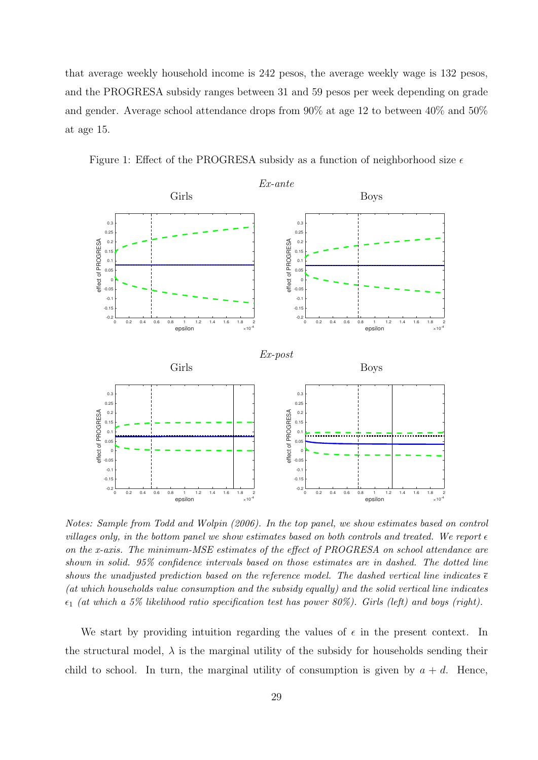that average weekly household income is 242 pesos, the average weekly wage is 132 pesos, and the PROGRESA subsidy ranges between 31 and 59 pesos per week depending on grade and gender. Average school attendance drops from 90% at age 12 to between 40% and 50% at age 15.

<span id="page-29-0"></span>Figure 1: Effect of the PROGRESA subsidy as a function of neighborhood size  $\epsilon$ 



Notes: Sample from Todd and Wolpin (2006). In the top panel, we show estimates based on control villages only, in the bottom panel we show estimates based on both controls and treated. We report  $\epsilon$ on the x-axis. The minimum-MSE estimates of the effect of PROGRESA on school attendance are shown in solid. 95% confidence intervals based on those estimates are in dashed. The dotted line shows the unadjusted prediction based on the reference model. The dashed vertical line indicates  $\bar{\epsilon}$ (at which households value consumption and the subsidy equally) and the solid vertical line indicates  $\epsilon_1$  (at which a 5% likelihood ratio specification test has power 80%). Girls (left) and boys (right).

We start by providing intuition regarding the values of  $\epsilon$  in the present context. In the structural model,  $\lambda$  is the marginal utility of the subsidy for households sending their child to school. In turn, the marginal utility of consumption is given by  $a + d$ . Hence,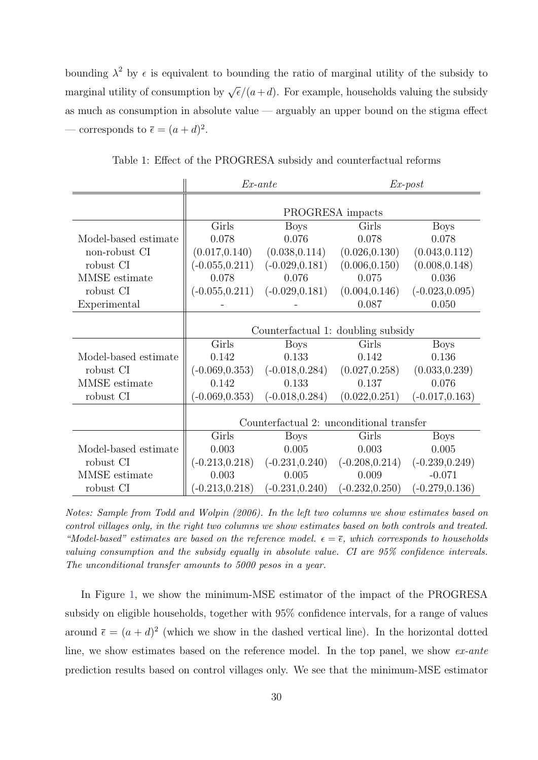bounding  $\lambda^2$  by  $\epsilon$  is equivalent to bounding the ratio of marginal utility of the subsidy to marginal utility of consumption by  $\sqrt{\epsilon}/(a+d)$ . For example, households valuing the subsidy as much as consumption in absolute value — arguably an upper bound on the stigma effect — corresponds to  $\bar{\epsilon} = (a+d)^2$ .

|                                |                                          | $Ex$ -ante        | $Ex\text{-}post$     |                   |  |  |  |  |
|--------------------------------|------------------------------------------|-------------------|----------------------|-------------------|--|--|--|--|
|                                | PROGRESA impacts                         |                   |                      |                   |  |  |  |  |
|                                | Girls                                    | <b>Boys</b>       | Girls                | <b>Boys</b>       |  |  |  |  |
| Model-based estimate           | 0.078                                    | 0.076             | 0.078                | 0.078             |  |  |  |  |
| non-robust CI                  | (0.017, 0.140)                           | (0.038, 0.114)    | (0.026, 0.130)       | (0.043, 0.112)    |  |  |  |  |
| robust CI                      | $(-0.055, 0.211)$                        | $(-0.029, 0.181)$ | (0.006, 0.150)       | (0.008, 0.148)    |  |  |  |  |
| MMSE estimate                  | 0.078                                    | 0.076             | 0.075                | 0.036             |  |  |  |  |
| robust CI                      | $(-0.055, 0.211)$                        | $(-0.029, 0.181)$ | (0.004, 0.146)       | $(-0.023, 0.095)$ |  |  |  |  |
| Experimental                   |                                          |                   | 0.087                | 0.050             |  |  |  |  |
|                                | Counterfactual 1: doubling subsidy       |                   |                      |                   |  |  |  |  |
|                                | Girls                                    | <b>Boys</b>       | Girls<br><b>Boys</b> |                   |  |  |  |  |
| Model-based estimate           | 0.142                                    | 0.133             | 0.142                | 0.136             |  |  |  |  |
| robust CI                      | $(-0.069, 0.353)$                        | $(-0.018, 0.284)$ | (0.027, 0.258)       | (0.033, 0.239)    |  |  |  |  |
| MMSE estimate                  | 0.142                                    | 0.133             | 0.137                | 0.076             |  |  |  |  |
| robust CI                      | $(-0.069, 0.353)$                        | $(-0.018, 0.284)$ | (0.022, 0.251)       | $(-0.017, 0.163)$ |  |  |  |  |
|                                |                                          |                   |                      |                   |  |  |  |  |
|                                | Counterfactual 2: unconditional transfer |                   |                      |                   |  |  |  |  |
|                                | Girls                                    | <b>Boys</b>       | Girls                | <b>Boys</b>       |  |  |  |  |
| Model-based estimate           | 0.003                                    | 0.005             | 0.003                | 0.005             |  |  |  |  |
| robust CI                      | $(-0.213, 0.218)$                        | $(-0.231, 0.240)$ | $(-0.208, 0.214)$    | $(-0.239, 0.249)$ |  |  |  |  |
| $\operatorname{MMSE}$ estimate | 0.003                                    | 0.005             | 0.009                | $-0.071$          |  |  |  |  |
| robust CI                      | $-0.213, 0.218$                          | $(-0.231, 0.240)$ | $(-0.232, 0.250)$    | $(-0.279, 0.136)$ |  |  |  |  |

<span id="page-30-0"></span>Table 1: Effect of the PROGRESA subsidy and counterfactual reforms

Notes: Sample from Todd and Wolpin (2006). In the left two columns we show estimates based on control villages only, in the right two columns we show estimates based on both controls and treated. "Model-based" estimates are based on the reference model.  $\epsilon = \overline{\epsilon}$ , which corresponds to households valuing consumption and the subsidy equally in absolute value. CI are 95% confidence intervals. The unconditional transfer amounts to 5000 pesos in a year.

In Figure [1,](#page-29-0) we show the minimum-MSE estimator of the impact of the PROGRESA subsidy on eligible households, together with 95% confidence intervals, for a range of values around  $\bar{\epsilon} = (a+d)^2$  (which we show in the dashed vertical line). In the horizontal dotted line, we show estimates based on the reference model. In the top panel, we show ex-ante prediction results based on control villages only. We see that the minimum-MSE estimator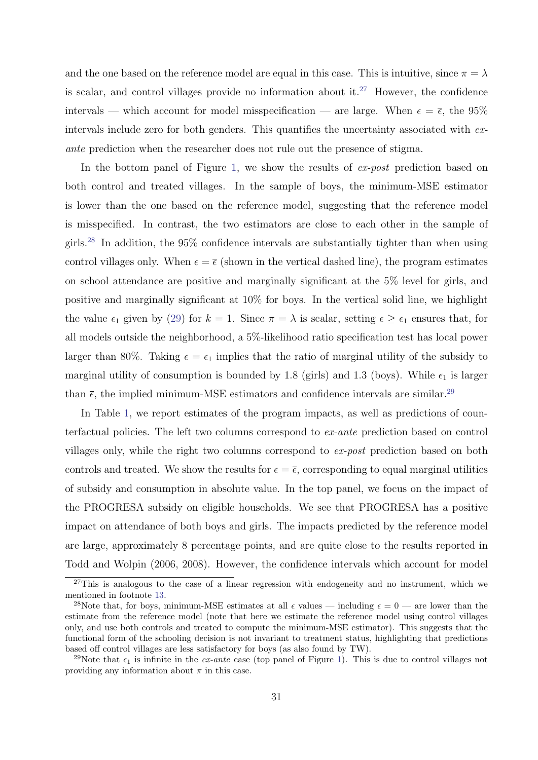and the one based on the reference model are equal in this case. This is intuitive, since  $\pi = \lambda$ is scalar, and control villages provide no information about it.<sup>[27](#page-31-0)</sup> However, the confidence intervals — which account for model misspecification — are large. When  $\epsilon = \bar{\epsilon}$ , the 95% intervals include zero for both genders. This quantifies the uncertainty associated with exante prediction when the researcher does not rule out the presence of stigma.

In the bottom panel of Figure [1,](#page-29-0) we show the results of ex-post prediction based on both control and treated villages. In the sample of boys, the minimum-MSE estimator is lower than the one based on the reference model, suggesting that the reference model is misspecified. In contrast, the two estimators are close to each other in the sample of girls.[28](#page-31-1) In addition, the 95% confidence intervals are substantially tighter than when using control villages only. When  $\epsilon = \bar{\epsilon}$  (shown in the vertical dashed line), the program estimates on school attendance are positive and marginally significant at the 5% level for girls, and positive and marginally significant at 10% for boys. In the vertical solid line, we highlight the value  $\epsilon_1$  given by [\(29\)](#page-25-1) for  $k = 1$ . Since  $\pi = \lambda$  is scalar, setting  $\epsilon \geq \epsilon_1$  ensures that, for all models outside the neighborhood, a 5%-likelihood ratio specification test has local power larger than 80%. Taking  $\epsilon = \epsilon_1$  implies that the ratio of marginal utility of the subsidy to marginal utility of consumption is bounded by 1.8 (girls) and 1.3 (boys). While  $\epsilon_1$  is larger than  $\bar{\epsilon}$ , the implied minimum-MSE estimators and confidence intervals are similar.<sup>[29](#page-31-2)</sup>

In Table [1,](#page-30-0) we report estimates of the program impacts, as well as predictions of counterfactual policies. The left two columns correspond to ex-ante prediction based on control villages only, while the right two columns correspond to ex-post prediction based on both controls and treated. We show the results for  $\epsilon = \overline{\epsilon}$ , corresponding to equal marginal utilities of subsidy and consumption in absolute value. In the top panel, we focus on the impact of the PROGRESA subsidy on eligible households. We see that PROGRESA has a positive impact on attendance of both boys and girls. The impacts predicted by the reference model are large, approximately 8 percentage points, and are quite close to the results reported in Todd and Wolpin (2006, 2008). However, the confidence intervals which account for model

<span id="page-31-0"></span><sup>&</sup>lt;sup>27</sup>This is analogous to the case of a linear regression with endogeneity and no instrument, which we mentioned in footnote [13.](#page-18-3)

<span id="page-31-1"></span><sup>&</sup>lt;sup>28</sup>Note that, for boys, minimum-MSE estimates at all  $\epsilon$  values — including  $\epsilon = 0$  — are lower than the estimate from the reference model (note that here we estimate the reference model using control villages only, and use both controls and treated to compute the minimum-MSE estimator). This suggests that the functional form of the schooling decision is not invariant to treatment status, highlighting that predictions based off control villages are less satisfactory for boys (as also found by TW).

<span id="page-31-2"></span><sup>&</sup>lt;sup>29</sup>Note that  $\epsilon_1$  is infinite in the *ex-ante* case (top panel of Figure [1\)](#page-29-0). This is due to control villages not providing any information about  $\pi$  in this case.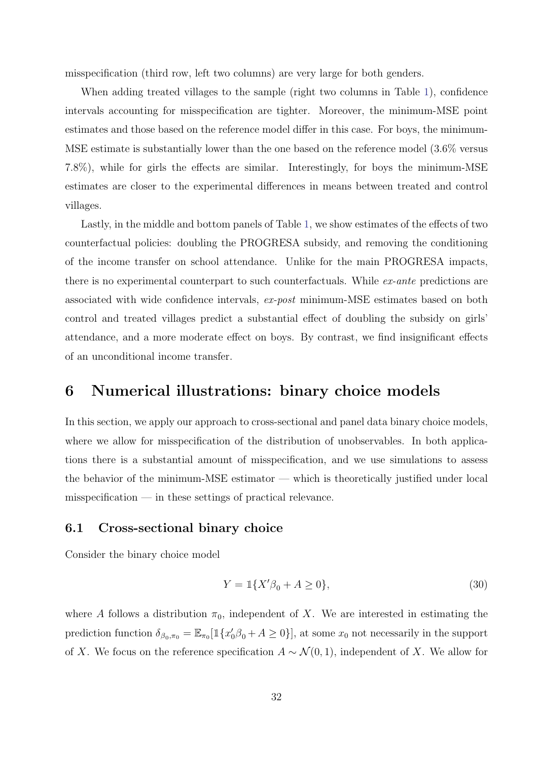misspecification (third row, left two columns) are very large for both genders.

When adding treated villages to the sample (right two columns in Table [1\)](#page-30-0), confidence intervals accounting for misspecification are tighter. Moreover, the minimum-MSE point estimates and those based on the reference model differ in this case. For boys, the minimum-MSE estimate is substantially lower than the one based on the reference model (3.6% versus 7.8%), while for girls the effects are similar. Interestingly, for boys the minimum-MSE estimates are closer to the experimental differences in means between treated and control villages.

Lastly, in the middle and bottom panels of Table [1,](#page-30-0) we show estimates of the effects of two counterfactual policies: doubling the PROGRESA subsidy, and removing the conditioning of the income transfer on school attendance. Unlike for the main PROGRESA impacts, there is no experimental counterpart to such counterfactuals. While ex-ante predictions are associated with wide confidence intervals, ex-post minimum-MSE estimates based on both control and treated villages predict a substantial effect of doubling the subsidy on girls' attendance, and a more moderate effect on boys. By contrast, we find insignificant effects of an unconditional income transfer.

### <span id="page-32-0"></span>6 Numerical illustrations: binary choice models

In this section, we apply our approach to cross-sectional and panel data binary choice models, where we allow for misspecification of the distribution of unobservables. In both applications there is a substantial amount of misspecification, and we use simulations to assess the behavior of the minimum-MSE estimator — which is theoretically justified under local misspecification — in these settings of practical relevance.

### <span id="page-32-1"></span>6.1 Cross-sectional binary choice

Consider the binary choice model

<span id="page-32-2"></span>
$$
Y = \mathbb{1}\{X'\beta_0 + A \ge 0\},\tag{30}
$$

where A follows a distribution  $\pi_0$ , independent of X. We are interested in estimating the prediction function  $\delta_{\beta_0,\pi_0} = \mathbb{E}_{\pi_0}[\mathbb{1}\{x'_0\beta_0 + A \geq 0\}]$ , at some  $x_0$  not necessarily in the support of X. We focus on the reference specification  $A \sim \mathcal{N}(0, 1)$ , independent of X. We allow for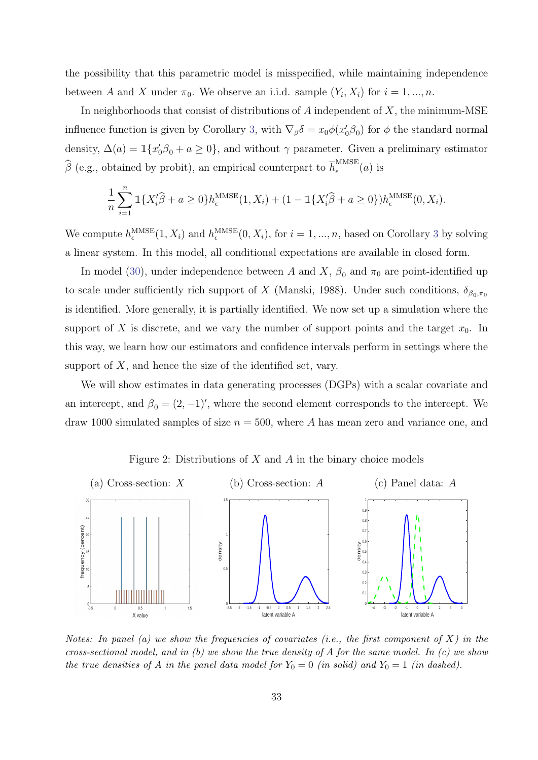the possibility that this parametric model is misspecified, while maintaining independence between A and X under  $\pi_0$ . We observe an i.i.d. sample  $(Y_i, X_i)$  for  $i = 1, ..., n$ .

In neighborhoods that consist of distributions of  $A$  independent of  $X$ , the minimum-MSE influence function is given by Corollary [3,](#page-20-1) with  $\nabla_{\beta} \delta = x_0 \phi(x'_0, \beta_0)$  for  $\phi$  the standard normal density,  $\Delta(a) = \mathbb{1}\{x'_0\beta_0 + a \geq 0\}$ , and without  $\gamma$  parameter. Given a preliminary estimator  $\widehat{\beta}$  (e.g., obtained by probit), an empirical counterpart to  $\overline{h}_{\epsilon}^{\text{MMSE}}$  $\int_{\epsilon}^{\text{minb}}(a)$  is

$$
\frac{1}{n}\sum_{i=1}^{n} \mathbb{1}\{X_{i}'\widehat{\beta} + a \ge 0\} h_{\epsilon}^{\text{MMSE}}(1, X_{i}) + (1 - \mathbb{1}\{X_{i}'\widehat{\beta} + a \ge 0\}) h_{\epsilon}^{\text{MMSE}}(0, X_{i}).
$$

We compute  $h_{\epsilon}^{\text{MMSE}}(1, X_i)$  and  $h_{\epsilon}^{\text{MMSE}}(0, X_i)$ , for  $i = 1, ..., n$ , based on Corollary [3](#page-20-1) by solving a linear system. In this model, all conditional expectations are available in closed form.

In model [\(30\)](#page-32-2), under independence between A and X,  $\beta_0$  and  $\pi_0$  are point-identified up to scale under sufficiently rich support of X (Manski, 1988). Under such conditions,  $\delta_{\beta_0, \pi_0}$ is identified. More generally, it is partially identified. We now set up a simulation where the support of X is discrete, and we vary the number of support points and the target  $x_0$ . In this way, we learn how our estimators and confidence intervals perform in settings where the support of  $X$ , and hence the size of the identified set, vary.

We will show estimates in data generating processes (DGPs) with a scalar covariate and an intercept, and  $\beta_0 = (2, -1)$ ', where the second element corresponds to the intercept. We draw 1000 simulated samples of size  $n = 500$ , where A has mean zero and variance one, and



<span id="page-33-0"></span>Figure 2: Distributions of  $X$  and  $A$  in the binary choice models

Notes: In panel (a) we show the frequencies of covariates (i.e., the first component of  $X$ ) in the cross-sectional model, and in (b) we show the true density of A for the same model. In  $(c)$  we show the true densities of A in the panel data model for  $Y_0 = 0$  (in solid) and  $Y_0 = 1$  (in dashed).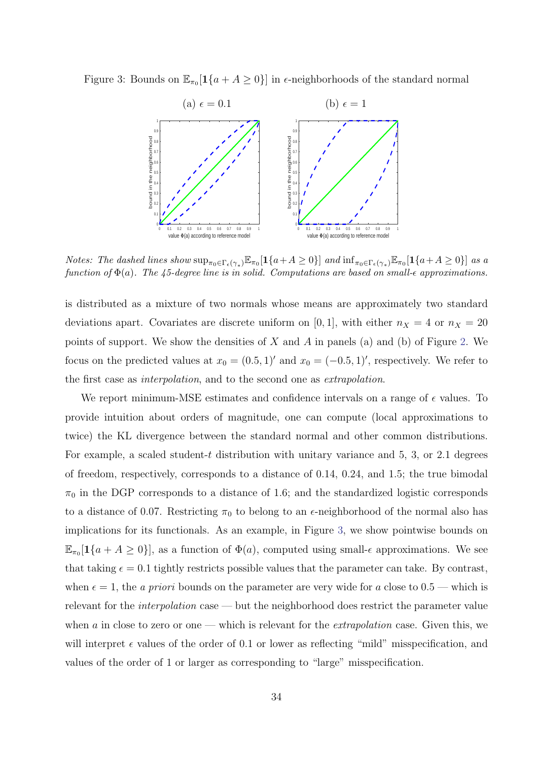Figure 3: Bounds on  $\mathbb{E}_{\pi_0}[1\{a + A \geq 0\}]$  in  $\epsilon$ -neighborhoods of the standard normal

<span id="page-34-0"></span>

*Notes: The dashed lines show*  $\sup_{\pi_0 \in \Gamma_{\epsilon}(\gamma_*)} \mathbb{E}_{\pi_0}[\mathbf{1}\{a+A\geq 0\}]$  and  $\inf_{\pi_0 \in \Gamma_{\epsilon}(\gamma_*)} \mathbb{E}_{\pi_0}[\mathbf{1}\{a+A\geq 0\}]$  as a function of  $\Phi(a)$ . The 45-degree line is in solid. Computations are based on small- $\epsilon$  approximations.

is distributed as a mixture of two normals whose means are approximately two standard deviations apart. Covariates are discrete uniform on [0, 1], with either  $n_X = 4$  or  $n_X = 20$ points of support. We show the densities of  $X$  and  $A$  in panels (a) and (b) of Figure [2.](#page-33-0) We focus on the predicted values at  $x_0 = (0.5, 1)'$  and  $x_0 = (-0.5, 1)'$ , respectively. We refer to the first case as interpolation, and to the second one as extrapolation.

We report minimum-MSE estimates and confidence intervals on a range of  $\epsilon$  values. To provide intuition about orders of magnitude, one can compute (local approximations to twice) the KL divergence between the standard normal and other common distributions. For example, a scaled student-t distribution with unitary variance and  $5, 3$ , or  $2.1$  degrees of freedom, respectively, corresponds to a distance of 0.14, 0.24, and 1.5; the true bimodal  $\pi_0$  in the DGP corresponds to a distance of 1.6; and the standardized logistic corresponds to a distance of 0.07. Restricting  $\pi_0$  to belong to an  $\epsilon$ -neighborhood of the normal also has implications for its functionals. As an example, in Figure [3,](#page-34-0) we show pointwise bounds on  $\mathbb{E}_{\pi_0}[\mathbf{1}\{a + A \geq 0\}]$ , as a function of  $\Phi(a)$ , computed using small- $\epsilon$  approximations. We see that taking  $\epsilon = 0.1$  tightly restricts possible values that the parameter can take. By contrast, when  $\epsilon = 1$ , the *a priori* bounds on the parameter are very wide for *a* close to 0.5 — which is relevant for the interpolation case — but the neighborhood does restrict the parameter value when  $\alpha$  in close to zero or one — which is relevant for the *extrapolation* case. Given this, we will interpret  $\epsilon$  values of the order of 0.1 or lower as reflecting "mild" misspecification, and values of the order of 1 or larger as corresponding to "large" misspecification.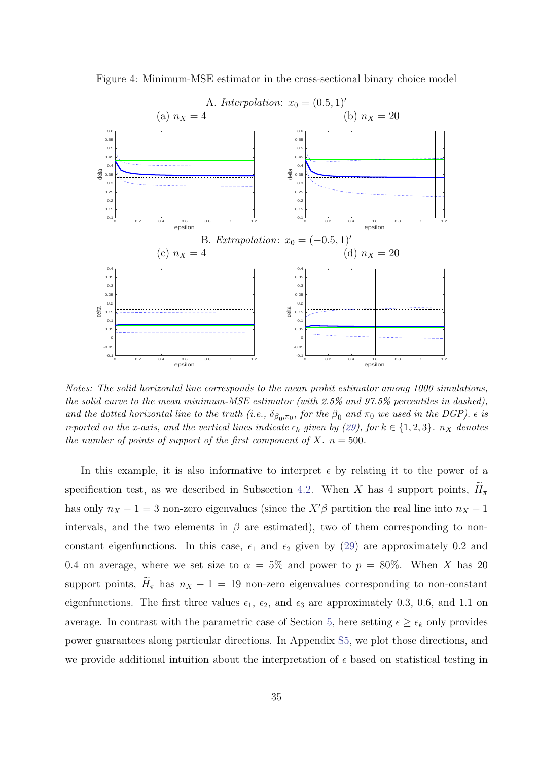

<span id="page-35-0"></span>Figure 4: Minimum-MSE estimator in the cross-sectional binary choice model

Notes: The solid horizontal line corresponds to the mean probit estimator among 1000 simulations, the solid curve to the mean minimum-MSE estimator (with 2.5% and 97.5% percentiles in dashed), and the dotted horizontal line to the truth (i.e.,  $\delta_{\beta_0,\pi_0}$ , for the  $\beta_0$  and  $\pi_0$  we used in the DGP).  $\epsilon$  is reported on the x-axis, and the vertical lines indicate  $\epsilon_k$  given by [\(29\)](#page-25-1), for  $k \in \{1,2,3\}$ .  $n_X$  denotes the number of points of support of the first component of X,  $n = 500$ .

In this example, it is also informative to interpret  $\epsilon$  by relating it to the power of a specification test, as we described in Subsection [4.2.](#page-24-4) When X has 4 support points,  $H_{\pi}$ has only  $n_X - 1 = 3$  non-zero eigenvalues (since the  $X'\beta$  partition the real line into  $n_X + 1$ intervals, and the two elements in  $\beta$  are estimated), two of them corresponding to nonconstant eigenfunctions. In this case,  $\epsilon_1$  and  $\epsilon_2$  given by [\(29\)](#page-25-1) are approximately 0.2 and 0.4 on average, where we set size to  $\alpha = 5\%$  and power to  $p = 80\%$ . When X has 20 support points,  $H_{\pi}$  has  $n_X - 1 = 19$  non-zero eigenvalues corresponding to non-constant eigenfunctions. The first three values  $\epsilon_1$ ,  $\epsilon_2$ , and  $\epsilon_3$  are approximately 0.3, 0.6, and 1.1 on average. In contrast with the parametric case of Section [5,](#page-26-0) here setting  $\epsilon \geq \epsilon_k$  only provides power guarantees along particular directions. In Appendix [S5,](#page--1-8) we plot those directions, and we provide additional intuition about the interpretation of  $\epsilon$  based on statistical testing in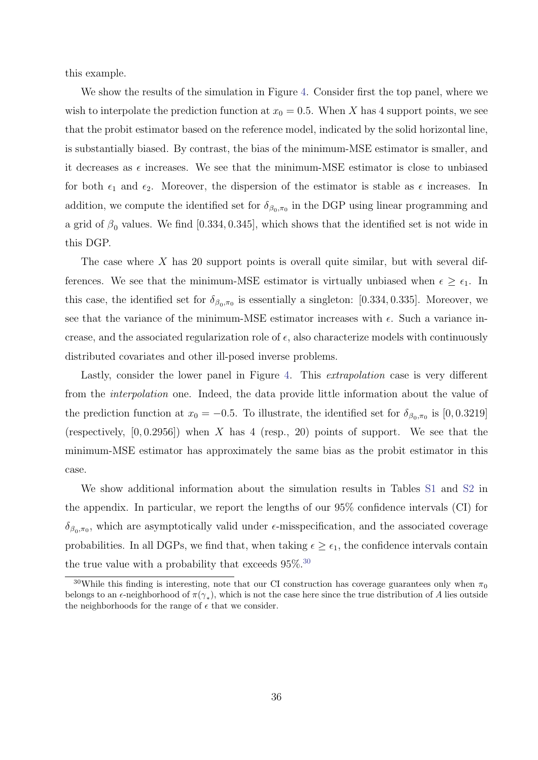this example.

We show the results of the simulation in Figure [4.](#page-35-0) Consider first the top panel, where we wish to interpolate the prediction function at  $x_0 = 0.5$ . When X has 4 support points, we see that the probit estimator based on the reference model, indicated by the solid horizontal line, is substantially biased. By contrast, the bias of the minimum-MSE estimator is smaller, and it decreases as  $\epsilon$  increases. We see that the minimum-MSE estimator is close to unbiased for both  $\epsilon_1$  and  $\epsilon_2$ . Moreover, the dispersion of the estimator is stable as  $\epsilon$  increases. In addition, we compute the identified set for  $\delta_{\beta_0,\pi_0}$  in the DGP using linear programming and a grid of  $\beta_0$  values. We find [0.334, 0.345], which shows that the identified set is not wide in this DGP.

The case where  $X$  has 20 support points is overall quite similar, but with several differences. We see that the minimum-MSE estimator is virtually unbiased when  $\epsilon \geq \epsilon_1$ . In this case, the identified set for  $\delta_{\beta_0,\pi_0}$  is essentially a singleton: [0.334, 0.335]. Moreover, we see that the variance of the minimum-MSE estimator increases with  $\epsilon$ . Such a variance increase, and the associated regularization role of  $\epsilon$ , also characterize models with continuously distributed covariates and other ill-posed inverse problems.

Lastly, consider the lower panel in Figure [4.](#page-35-0) This *extrapolation* case is very different from the interpolation one. Indeed, the data provide little information about the value of the prediction function at  $x_0 = -0.5$ . To illustrate, the identified set for  $\delta_{\beta_0, \pi_0}$  is [0, 0.3219] (respectively,  $[0, 0.2956]$ ) when X has 4 (resp., 20) points of support. We see that the minimum-MSE estimator has approximately the same bias as the probit estimator in this case.

We show additional information about the simulation results in Tables [S1](#page--1-9) and [S2](#page--1-10) in the appendix. In particular, we report the lengths of our 95% confidence intervals (CI) for  $\delta_{\beta_0,\pi_0}$ , which are asymptotically valid under  $\epsilon$ -misspecification, and the associated coverage probabilities. In all DGPs, we find that, when taking  $\epsilon \geq \epsilon_1$ , the confidence intervals contain the true value with a probability that exceeds  $95\%$ .<sup>[30](#page-36-0)</sup>

<span id="page-36-0"></span><sup>&</sup>lt;sup>30</sup>While this finding is interesting, note that our CI construction has coverage guarantees only when  $\pi_0$ belongs to an  $\epsilon$ -neighborhood of  $\pi(\gamma_*)$ , which is not the case here since the true distribution of A lies outside the neighborhoods for the range of  $\epsilon$  that we consider.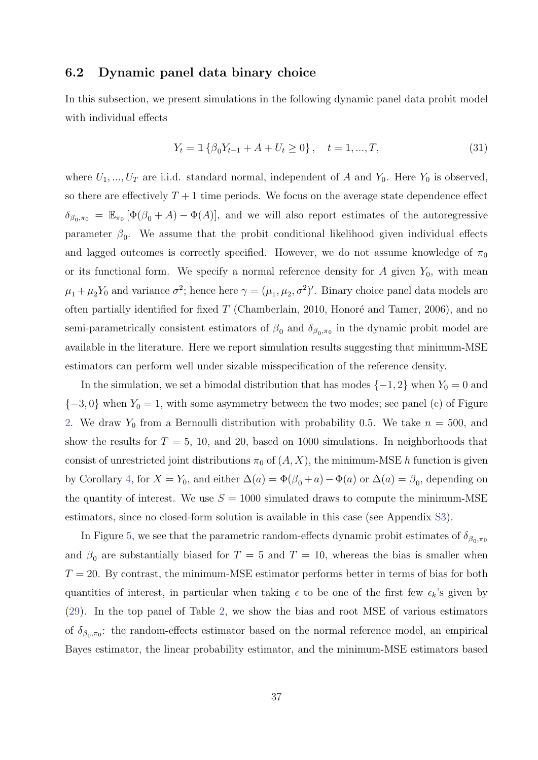### <span id="page-37-0"></span>6.2 Dynamic panel data binary choice

In this subsection, we present simulations in the following dynamic panel data probit model with individual effects

$$
Y_t = \mathbb{1}\left\{\beta_0 Y_{t-1} + A + U_t \ge 0\right\}, \quad t = 1, ..., T,
$$
\n(31)

where  $U_1, ..., U_T$  are i.i.d. standard normal, independent of A and  $Y_0$ . Here  $Y_0$  is observed, so there are effectively  $T+1$  time periods. We focus on the average state dependence effect  $\delta_{\beta_0,\pi_0} = \mathbb{E}_{\pi_0} [\Phi(\beta_0 + A) - \Phi(A)],$  and we will also report estimates of the autoregressive parameter  $\beta_0$ . We assume that the probit conditional likelihood given individual effects and lagged outcomes is correctly specified. However, we do not assume knowledge of  $\pi_0$ or its functional form. We specify a normal reference density for  $A$  given  $Y_0$ , with mean  $\mu_1 + \mu_2 Y_0$  and variance  $\sigma^2$ ; hence here  $\gamma = (\mu_1, \mu_2, \sigma^2)'$ . Binary choice panel data models are often partially identified for fixed  $T$  (Chamberlain, 2010, Honoré and Tamer, 2006), and no semi-parametrically consistent estimators of  $\beta_0$  and  $\delta_{\beta_0,\pi_0}$  in the dynamic probit model are available in the literature. Here we report simulation results suggesting that minimum-MSE estimators can perform well under sizable misspecification of the reference density.

In the simulation, we set a bimodal distribution that has modes  $\{-1, 2\}$  when  $Y_0 = 0$  and  ${-3,0}$  when  $Y_0 = 1$ , with some asymmetry between the two modes; see panel (c) of Figure [2.](#page-33-0) We draw  $Y_0$  from a Bernoulli distribution with probability 0.5. We take  $n = 500$ , and show the results for  $T = 5$ , 10, and 20, based on 1000 simulations. In neighborhoods that consist of unrestricted joint distributions  $\pi_0$  of  $(A, X)$ , the minimum-MSE h function is given by Corollary [4,](#page-21-4) for  $X = Y_0$ , and either  $\Delta(a) = \Phi(\beta_0 + a) - \Phi(a)$  or  $\Delta(a) = \beta_0$ , depending on the quantity of interest. We use  $S = 1000$  simulated draws to compute the minimum-MSE estimators, since no closed-form solution is available in this case (see Appendix [S3\)](#page--1-7).

In Figure [5,](#page-38-0) we see that the parametric random-effects dynamic probit estimates of  $\delta_{\beta_0, \pi_0}$ and  $\beta_0$  are substantially biased for  $T = 5$  and  $T = 10$ , whereas the bias is smaller when  $T = 20$ . By contrast, the minimum-MSE estimator performs better in terms of bias for both quantities of interest, in particular when taking  $\epsilon$  to be one of the first few  $\epsilon_k$ 's given by [\(29\)](#page-25-1). In the top panel of Table [2,](#page-39-1) we show the bias and root MSE of various estimators of  $\delta_{\beta_0,\pi_0}$ : the random-effects estimator based on the normal reference model, an empirical Bayes estimator, the linear probability estimator, and the minimum-MSE estimators based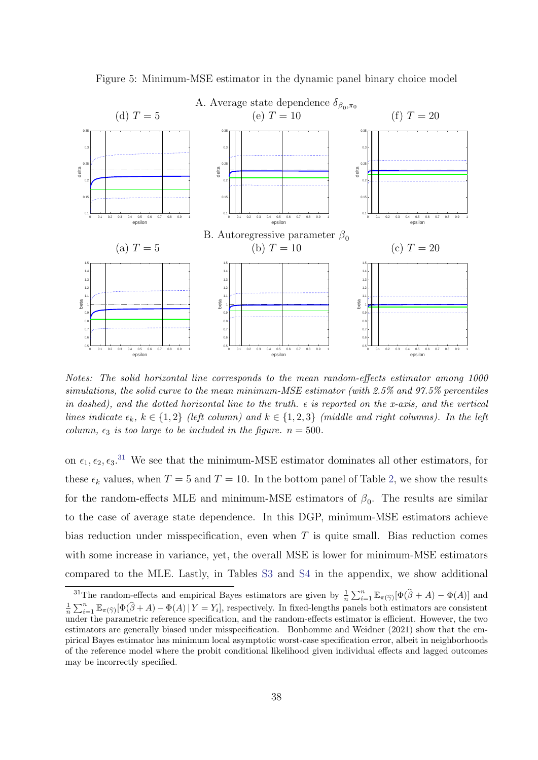

<span id="page-38-0"></span>Figure 5: Minimum-MSE estimator in the dynamic panel binary choice model

Notes: The solid horizontal line corresponds to the mean random-effects estimator among 1000 simulations, the solid curve to the mean minimum-MSE estimator (with 2.5% and 97.5% percentiles in dashed), and the dotted horizontal line to the truth.  $\epsilon$  is reported on the x-axis, and the vertical lines indicate  $\epsilon_k$ ,  $k \in \{1,2\}$  (left column) and  $k \in \{1,2,3\}$  (middle and right columns). In the left column,  $\epsilon_3$  is too large to be included in the figure.  $n = 500$ .

on  $\epsilon_1, \epsilon_2, \epsilon_3$ <sup>[31](#page-38-1)</sup>. We see that the minimum-MSE estimator dominates all other estimators, for these  $\epsilon_k$  values, when  $T = 5$  and  $T = 10$ . In the bottom panel of Table [2,](#page-39-1) we show the results for the random-effects MLE and minimum-MSE estimators of  $\beta_0$ . The results are similar to the case of average state dependence. In this DGP, minimum-MSE estimators achieve bias reduction under misspecification, even when  $T$  is quite small. Bias reduction comes with some increase in variance, yet, the overall MSE is lower for minimum-MSE estimators compared to the MLE. Lastly, in Tables [S3](#page--1-11) and [S4](#page--1-12) in the appendix, we show additional

<span id="page-38-1"></span><sup>&</sup>lt;sup>31</sup>The random-effects and empirical Bayes estimators are given by  $\frac{1}{n} \sum_{i=1}^{n} \mathbb{E}_{\pi(\widehat{\gamma})} [\Phi(\widehat{\beta} + A) - \Phi(A)]$  and  $\frac{1}{n}\sum_{i=1}^n \mathbb{E}_{\pi(\widehat{\gamma})}[\Phi(\widehat{\beta}+A)-\Phi(A)]Y=Y_i]$ , respectively. In fixed-lengths panels both estimators are consistent under the parametric reference specification, and the random-effects estimator is efficient. However, the two estimators are generally biased under misspecification. Bonhomme and Weidner (2021) show that the empirical Bayes estimator has minimum local asymptotic worst-case specification error, albeit in neighborhoods of the reference model where the probit conditional likelihood given individual effects and lagged outcomes may be incorrectly specified.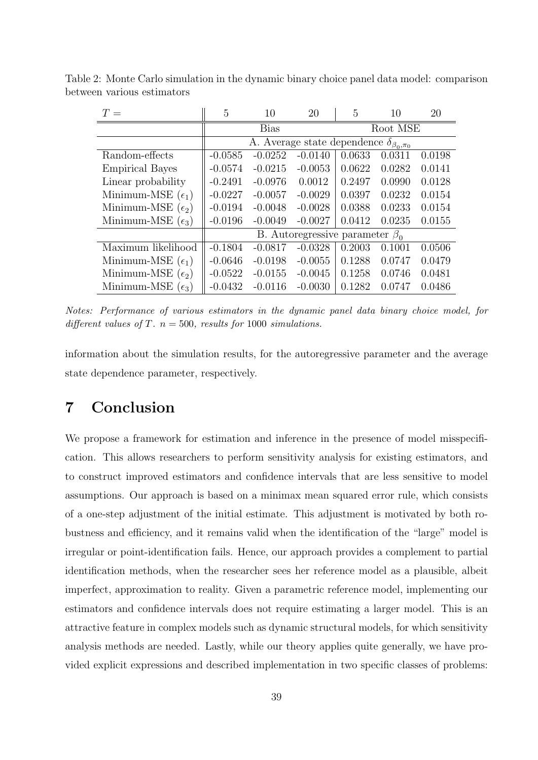<span id="page-39-1"></span>

| $T =$                      | 5                                                    | 10        | 20        | 5        | 10     | 20     |  |  |
|----------------------------|------------------------------------------------------|-----------|-----------|----------|--------|--------|--|--|
|                            | <b>Bias</b>                                          |           |           | Root MSE |        |        |  |  |
|                            | A. Average state dependence $\delta_{\beta_0,\pi_0}$ |           |           |          |        |        |  |  |
| Random-effects             | $-0.0585$                                            | $-0.0252$ | $-0.0140$ | 0.0633   | 0.0311 | 0.0198 |  |  |
| <b>Empirical Bayes</b>     | $-0.0574$                                            | $-0.0215$ | $-0.0053$ | 0.0622   | 0.0282 | 0.0141 |  |  |
| Linear probability         | $-0.2491$                                            | $-0.0976$ | 0.0012    | 0.2497   | 0.0990 | 0.0128 |  |  |
| Minimum-MSE $(\epsilon_1)$ | $-0.0227$                                            | $-0.0057$ | $-0.0029$ | 0.0397   | 0.0232 | 0.0154 |  |  |
| Minimum-MSE $(\epsilon_2)$ | $-0.0194$                                            | $-0.0048$ | $-0.0028$ | 0.0388   | 0.0233 | 0.0154 |  |  |
| Minimum-MSE $(\epsilon_3)$ | $-0.0196$                                            | $-0.0049$ | $-0.0027$ | 0.0412   | 0.0235 | 0.0155 |  |  |
|                            | B. Autoregressive parameter $\beta_0$                |           |           |          |        |        |  |  |
| Maximum likelihood         | $-0.1804$                                            | $-0.0817$ | $-0.0328$ | 0.2003   | 0.1001 | 0.0506 |  |  |
| Minimum-MSE $(\epsilon_1)$ | $-0.0646$                                            | $-0.0198$ | $-0.0055$ | 0.1288   | 0.0747 | 0.0479 |  |  |
| Minimum-MSE $(\epsilon_2)$ | $-0.0522$                                            | $-0.0155$ | $-0.0045$ | 0.1258   | 0.0746 | 0.0481 |  |  |
| Minimum-MSE $(\epsilon_3)$ | $-0.0432$                                            | $-0.0116$ | $-0.0030$ | 0.1282   | 0.0747 | 0.0486 |  |  |

Table 2: Monte Carlo simulation in the dynamic binary choice panel data model: comparison between various estimators

Notes: Performance of various estimators in the dynamic panel data binary choice model, for different values of T.  $n = 500$ , results for 1000 simulations.

information about the simulation results, for the autoregressive parameter and the average state dependence parameter, respectively.

## <span id="page-39-0"></span>7 Conclusion

We propose a framework for estimation and inference in the presence of model misspecification. This allows researchers to perform sensitivity analysis for existing estimators, and to construct improved estimators and confidence intervals that are less sensitive to model assumptions. Our approach is based on a minimax mean squared error rule, which consists of a one-step adjustment of the initial estimate. This adjustment is motivated by both robustness and efficiency, and it remains valid when the identification of the "large" model is irregular or point-identification fails. Hence, our approach provides a complement to partial identification methods, when the researcher sees her reference model as a plausible, albeit imperfect, approximation to reality. Given a parametric reference model, implementing our estimators and confidence intervals does not require estimating a larger model. This is an attractive feature in complex models such as dynamic structural models, for which sensitivity analysis methods are needed. Lastly, while our theory applies quite generally, we have provided explicit expressions and described implementation in two specific classes of problems: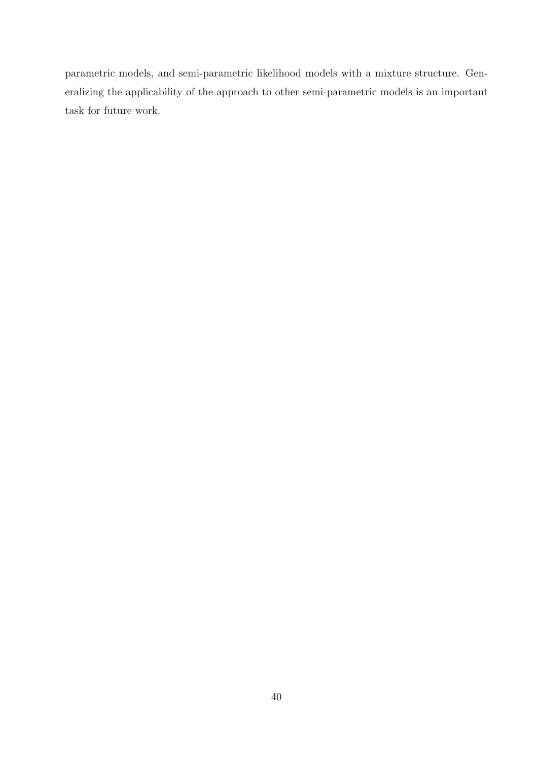parametric models, and semi-parametric likelihood models with a mixture structure. Generalizing the applicability of the approach to other semi-parametric models is an important task for future work.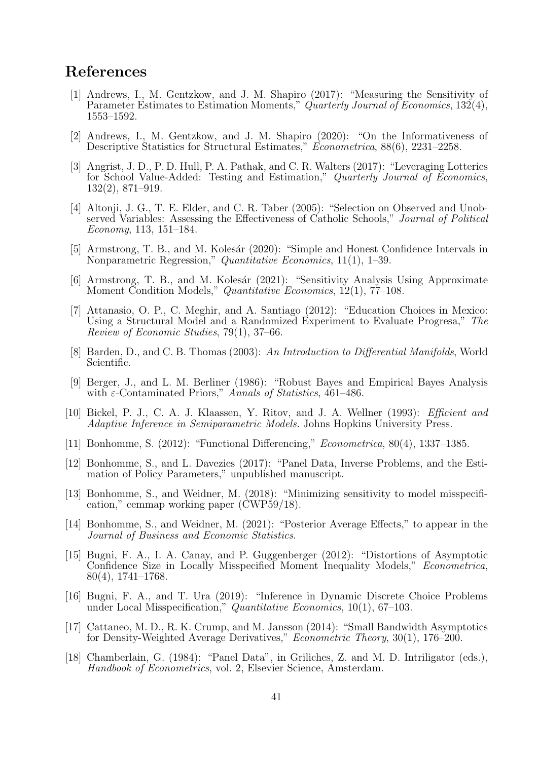## References

- [1] Andrews, I., M. Gentzkow, and J. M. Shapiro (2017): "Measuring the Sensitivity of Parameter Estimates to Estimation Moments," Quarterly Journal of Economics,  $132(4)$ , 1553–1592.
- [2] Andrews, I., M. Gentzkow, and J. M. Shapiro (2020): "On the Informativeness of Descriptive Statistics for Structural Estimates," Econometrica, 88(6), 2231–2258.
- [3] Angrist, J. D., P. D. Hull, P. A. Pathak, and C. R. Walters (2017): "Leveraging Lotteries for School Value-Added: Testing and Estimation," Quarterly Journal of Economics, 132(2), 871–919.
- [4] Altonji, J. G., T. E. Elder, and C. R. Taber (2005): "Selection on Observed and Unobserved Variables: Assessing the Effectiveness of Catholic Schools," Journal of Political Economy, 113, 151–184.
- [5] Armstrong, T. B., and M. Kolesár (2020): "Simple and Honest Confidence Intervals in Nonparametric Regression," Quantitative Economics, 11(1), 1–39.
- [6] Armstrong, T. B., and M. Kolesár (2021): "Sensitivity Analysis Using Approximate Moment Condition Models," Quantitative Economics, 12(1), 77–108.
- [7] Attanasio, O. P., C. Meghir, and A. Santiago (2012): "Education Choices in Mexico: Using a Structural Model and a Randomized Experiment to Evaluate Progresa," The Review of Economic Studies, 79(1), 37–66.
- [8] Barden, D., and C. B. Thomas (2003): An Introduction to Differential Manifolds, World Scientific.
- [9] Berger, J., and L. M. Berliner (1986): "Robust Bayes and Empirical Bayes Analysis with  $\varepsilon$ -Contaminated Priors," Annals of Statistics, 461–486.
- [10] Bickel, P. J., C. A. J. Klaassen, Y. Ritov, and J. A. Wellner (1993): Efficient and Adaptive Inference in Semiparametric Models. Johns Hopkins University Press.
- [11] Bonhomme, S. (2012): "Functional Differencing," Econometrica, 80(4), 1337–1385.
- [12] Bonhomme, S., and L. Davezies (2017): "Panel Data, Inverse Problems, and the Estimation of Policy Parameters," unpublished manuscript.
- [13] Bonhomme, S., and Weidner, M. (2018): "Minimizing sensitivity to model misspecification," cemmap working paper (CWP59/18).
- [14] Bonhomme, S., and Weidner, M. (2021): "Posterior Average Effects," to appear in the Journal of Business and Economic Statistics.
- [15] Bugni, F. A., I. A. Canay, and P. Guggenberger (2012): "Distortions of Asymptotic Confidence Size in Locally Misspecified Moment Inequality Models," Econometrica, 80(4), 1741–1768.
- [16] Bugni, F. A., and T. Ura (2019): "Inference in Dynamic Discrete Choice Problems under Local Misspecification," *Quantitative Economics*, 10(1), 67–103.
- [17] Cattaneo, M. D., R. K. Crump, and M. Jansson (2014): "Small Bandwidth Asymptotics for Density-Weighted Average Derivatives," Econometric Theory, 30(1), 176–200.
- [18] Chamberlain, G. (1984): "Panel Data", in Griliches, Z. and M. D. Intriligator (eds.), Handbook of Econometrics, vol. 2, Elsevier Science, Amsterdam.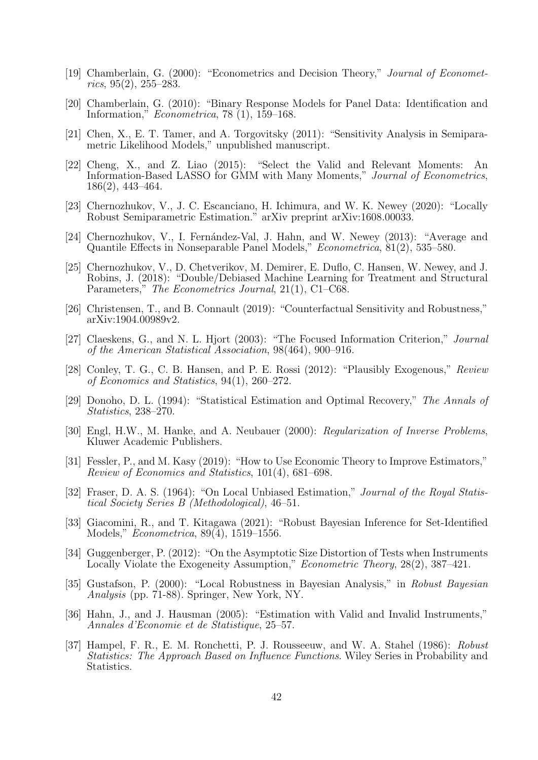- [19] Chamberlain, G. (2000): "Econometrics and Decision Theory," Journal of Economet $rics, 95(2), 255-283.$
- [20] Chamberlain, G. (2010): "Binary Response Models for Panel Data: Identification and Information," Econometrica, 78 (1), 159–168.
- [21] Chen, X., E. T. Tamer, and A. Torgovitsky (2011): "Sensitivity Analysis in Semiparametric Likelihood Models," unpublished manuscript.
- [22] Cheng, X., and Z. Liao (2015): "Select the Valid and Relevant Moments: An Information-Based LASSO for GMM with Many Moments," Journal of Econometrics, 186(2), 443–464.
- [23] Chernozhukov, V., J. C. Escanciano, H. Ichimura, and W. K. Newey (2020): "Locally Robust Semiparametric Estimation." arXiv preprint arXiv:1608.00033.
- [24] Chernozhukov, V., I. Fernández-Val, J. Hahn, and W. Newey (2013): "Average and Quantile Effects in Nonseparable Panel Models," Econometrica, 81(2), 535–580.
- [25] Chernozhukov, V., D. Chetverikov, M. Demirer, E. Duflo, C. Hansen, W. Newey, and J. Robins, J. (2018): "Double/Debiased Machine Learning for Treatment and Structural Parameters," The Econometrics Journal, 21(1), C1–C68.
- [26] Christensen, T., and B. Connault (2019): "Counterfactual Sensitivity and Robustness," arXiv:1904.00989v2.
- [27] Claeskens, G., and N. L. Hjort (2003): "The Focused Information Criterion," Journal of the American Statistical Association, 98(464), 900–916.
- [28] Conley, T. G., C. B. Hansen, and P. E. Rossi (2012): "Plausibly Exogenous," Review of Economics and Statistics, 94(1), 260–272.
- [29] Donoho, D. L. (1994): "Statistical Estimation and Optimal Recovery," The Annals of Statistics, 238–270.
- [30] Engl, H.W., M. Hanke, and A. Neubauer (2000): Regularization of Inverse Problems, Kluwer Academic Publishers.
- [31] Fessler, P., and M. Kasy (2019): "How to Use Economic Theory to Improve Estimators," Review of Economics and Statistics, 101(4), 681–698.
- [32] Fraser, D. A. S. (1964): "On Local Unbiased Estimation," Journal of the Royal Statistical Society Series B (Methodological), 46–51.
- [33] Giacomini, R., and T. Kitagawa (2021): "Robust Bayesian Inference for Set-Identified Models," Econometrica, 89(4), 1519–1556.
- [34] Guggenberger, P. (2012): "On the Asymptotic Size Distortion of Tests when Instruments Locally Violate the Exogeneity Assumption," *Econometric Theory*, 28(2), 387–421.
- [35] Gustafson, P. (2000): "Local Robustness in Bayesian Analysis," in Robust Bayesian Analysis (pp. 71-88). Springer, New York, NY.
- [36] Hahn, J., and J. Hausman (2005): "Estimation with Valid and Invalid Instruments," Annales d'Economie et de Statistique, 25–57.
- [37] Hampel, F. R., E. M. Ronchetti, P. J. Rousseeuw, and W. A. Stahel (1986): Robust Statistics: The Approach Based on Influence Functions. Wiley Series in Probability and Statistics.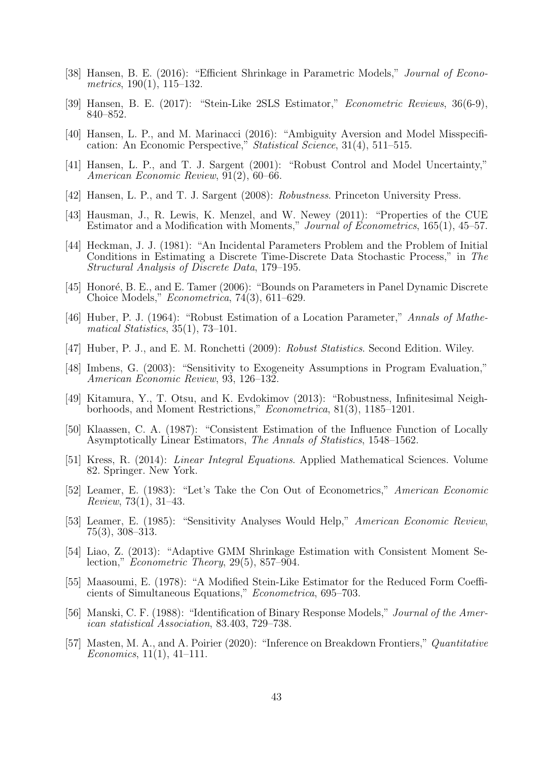- [38] Hansen, B. E. (2016): "Efficient Shrinkage in Parametric Models," Journal of Econometrics, 190(1), 115–132.
- [39] Hansen, B. E. (2017): "Stein-Like 2SLS Estimator," Econometric Reviews, 36(6-9), 840–852.
- [40] Hansen, L. P., and M. Marinacci (2016): "Ambiguity Aversion and Model Misspecification: An Economic Perspective," Statistical Science, 31(4), 511–515.
- [41] Hansen, L. P., and T. J. Sargent (2001): "Robust Control and Model Uncertainty," American Economic Review, 91(2), 60–66.
- [42] Hansen, L. P., and T. J. Sargent (2008): Robustness. Princeton University Press.
- [43] Hausman, J., R. Lewis, K. Menzel, and W. Newey (2011): "Properties of the CUE Estimator and a Modification with Moments," Journal of Econometrics, 165(1), 45–57.
- [44] Heckman, J. J. (1981): "An Incidental Parameters Problem and the Problem of Initial Conditions in Estimating a Discrete Time-Discrete Data Stochastic Process," in The Structural Analysis of Discrete Data, 179–195.
- [45] Honoré, B. E., and E. Tamer (2006): "Bounds on Parameters in Panel Dynamic Discrete Choice Models," Econometrica, 74(3), 611–629.
- [46] Huber, P. J. (1964): "Robust Estimation of a Location Parameter," Annals of Mathematical Statistics, 35(1), 73–101.
- [47] Huber, P. J., and E. M. Ronchetti (2009): Robust Statistics. Second Edition. Wiley.
- [48] Imbens, G. (2003): "Sensitivity to Exogeneity Assumptions in Program Evaluation," American Economic Review, 93, 126–132.
- [49] Kitamura, Y., T. Otsu, and K. Evdokimov (2013): "Robustness, Infinitesimal Neighborhoods, and Moment Restrictions," Econometrica, 81(3), 1185–1201.
- [50] Klaassen, C. A. (1987): "Consistent Estimation of the Influence Function of Locally Asymptotically Linear Estimators, The Annals of Statistics, 1548–1562.
- [51] Kress, R. (2014): Linear Integral Equations. Applied Mathematical Sciences. Volume 82. Springer. New York.
- [52] Leamer, E. (1983): "Let's Take the Con Out of Econometrics," American Economic Review, 73(1), 31–43.
- [53] Leamer, E. (1985): "Sensitivity Analyses Would Help," American Economic Review, 75(3), 308–313.
- [54] Liao, Z. (2013): "Adaptive GMM Shrinkage Estimation with Consistent Moment Selection," Econometric Theory, 29(5), 857–904.
- [55] Maasoumi, E. (1978): "A Modified Stein-Like Estimator for the Reduced Form Coefficients of Simultaneous Equations," Econometrica, 695–703.
- [56] Manski, C. F. (1988): "Identification of Binary Response Models," Journal of the American statistical Association, 83.403, 729–738.
- [57] Masten, M. A., and A. Poirier (2020): "Inference on Breakdown Frontiers," Quantitative  $Economics, 11(1), 41-111.$